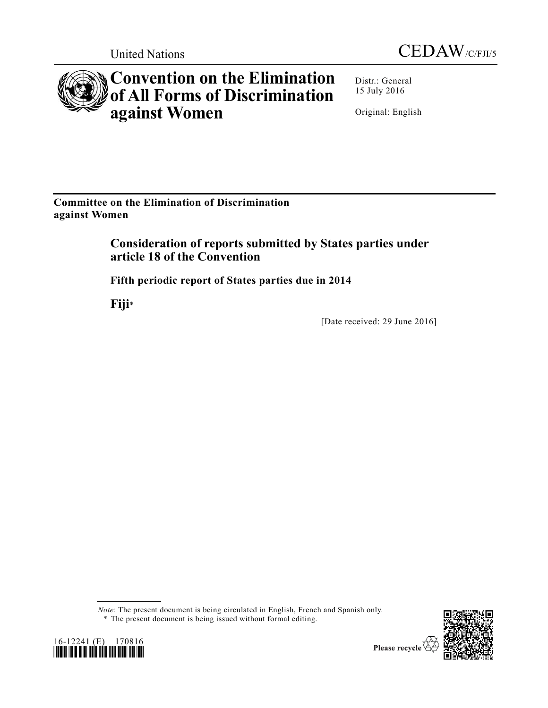



# **Convention on the Elimination of All Forms of Discrimination against Women**

Distr.: General 15 July 2016

Original: English

**Committee on the Elimination of Discrimination against Women** 

> **Consideration of reports submitted by States parties under article 18 of the Convention**

**Fifth periodic report of States parties due in 2014** 

**Fiji**\*

[Date received: 29 June 2016]

*Note*: The present document is being circulated in English, French and Spanish only. \* The present document is being issued without formal editing.



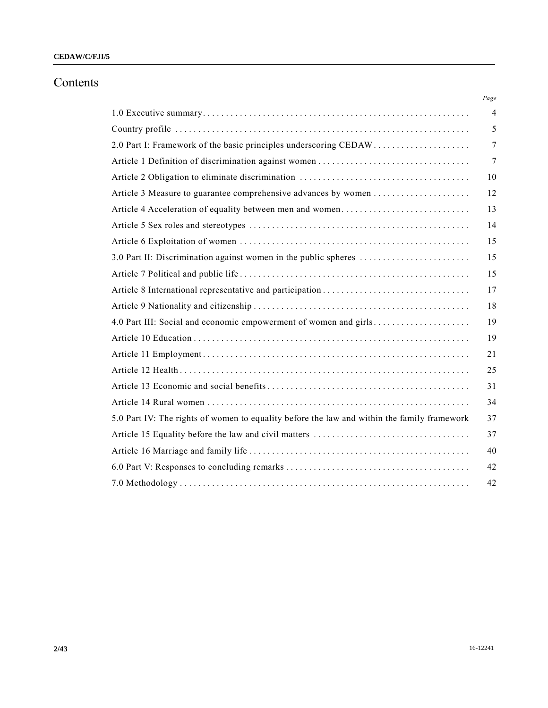## Contents

|                                                                                             | Page           |
|---------------------------------------------------------------------------------------------|----------------|
|                                                                                             | $\overline{4}$ |
|                                                                                             | 5              |
|                                                                                             | 7              |
|                                                                                             | $\tau$         |
|                                                                                             | 10             |
|                                                                                             | 12             |
| Article 4 Acceleration of equality between men and women                                    | 13             |
|                                                                                             | 14             |
|                                                                                             | 15             |
| 3.0 Part II: Discrimination against women in the public spheres                             | 15             |
|                                                                                             | 15             |
|                                                                                             | 17             |
|                                                                                             | 18             |
| 4.0 Part III: Social and economic empowerment of women and girls                            | 19             |
|                                                                                             | 19             |
|                                                                                             | 21             |
|                                                                                             | 25             |
|                                                                                             | 31             |
|                                                                                             | 34             |
| 5.0 Part IV: The rights of women to equality before the law and within the family framework | 37             |
|                                                                                             | 37             |
|                                                                                             | 40             |
|                                                                                             | 42             |
|                                                                                             | 42             |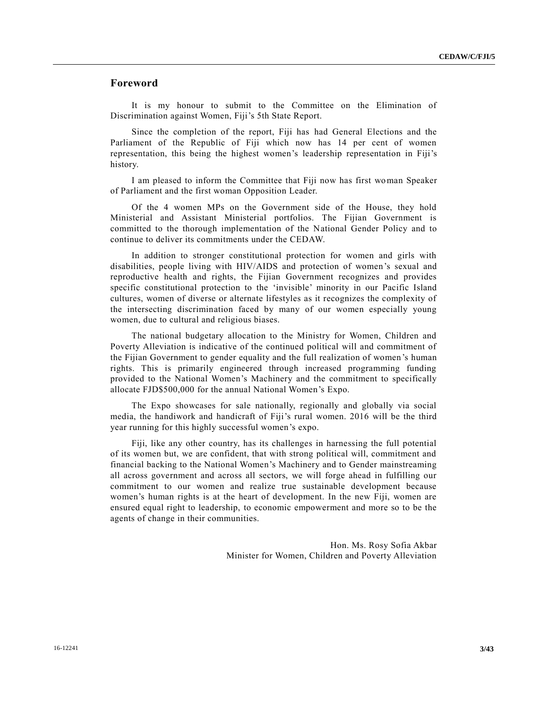## **Foreword**

It is my honour to submit to the Committee on the Elimination of Discrimination against Women, Fiji's 5th State Report.

Since the completion of the report, Fiji has had General Elections and the Parliament of the Republic of Fiji which now has 14 per cent of women representation, this being the highest women's leadership representation in Fiji's history.

I am pleased to inform the Committee that Fiji now has first woman Speaker of Parliament and the first woman Opposition Leader.

Of the 4 women MPs on the Government side of the House, they hold Ministerial and Assistant Ministerial portfolios. The Fijian Government is committed to the thorough implementation of the National Gender Policy and to continue to deliver its commitments under the CEDAW.

In addition to stronger constitutional protection for women and girls with disabilities, people living with HIV/AIDS and protection of women's sexual and reproductive health and rights, the Fijian Government recognizes and provides specific constitutional protection to the 'invisible' minority in our Pacific Island cultures, women of diverse or alternate lifestyles as it recognizes the complexity of the intersecting discrimination faced by many of our women especially young women, due to cultural and religious biases.

The national budgetary allocation to the Ministry for Women, Children and Poverty Alleviation is indicative of the continued political will and commitment of the Fijian Government to gender equality and the full realization of women's human rights. This is primarily engineered through increased programming funding provided to the National Women's Machinery and the commitment to specifically allocate FJD\$500,000 for the annual National Women's Expo.

The Expo showcases for sale nationally, regionally and globally via social media, the handiwork and handicraft of Fiji's rural women. 2016 will be the third year running for this highly successful women's expo.

Fiji, like any other country, has its challenges in harnessing the full potential of its women but, we are confident, that with strong political will, commitment and financial backing to the National Women's Machinery and to Gender mainstreaming all across government and across all sectors, we will forge ahead in fulfilling our commitment to our women and realize true sustainable development because women's human rights is at the heart of development. In the new Fiji, women are ensured equal right to leadership, to economic empowerment and more so to be the agents of change in their communities.

> Hon. Ms. Rosy Sofia Akbar Minister for Women, Children and Poverty Alleviation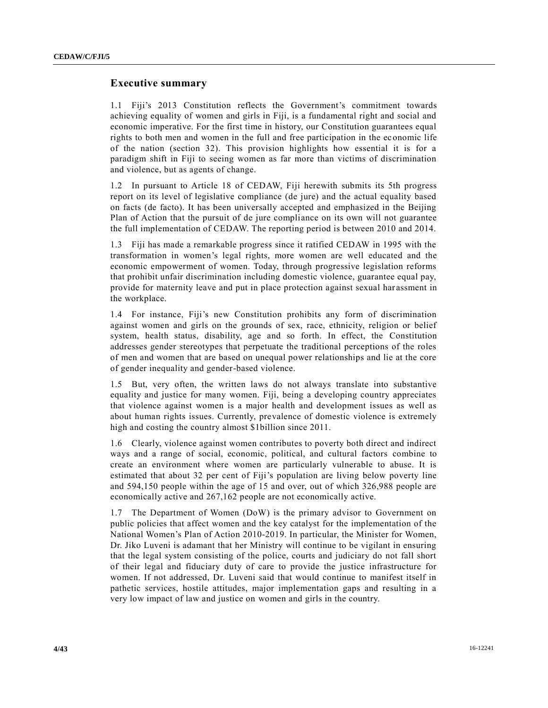## **Executive summary**

1.1 Fiji's 2013 Constitution reflects the Government's commitment towards achieving equality of women and girls in Fiji, is a fundamental right and social and economic imperative. For the first time in history, our Constitution guarantees equal rights to both men and women in the full and free participation in the ec onomic life of the nation (section 32). This provision highlights how essential it is for a paradigm shift in Fiji to seeing women as far more than victims of discrimination and violence, but as agents of change.

1.2 In pursuant to Article 18 of CEDAW, Fiji herewith submits its 5th progress report on its level of legislative compliance (de jure) and the actual equality based on facts (de facto). It has been universally accepted and emphasized in the Beijing Plan of Action that the pursuit of de jure compliance on its own will not guarantee the full implementation of CEDAW. The reporting period is between 2010 and 2014.

1.3 Fiji has made a remarkable progress since it ratified CEDAW in 1995 with the transformation in women's legal rights, more women are well educated and the economic empowerment of women. Today, through progressive legislation reforms that prohibit unfair discrimination including domestic violence, guarantee equal pay, provide for maternity leave and put in place protection against sexual har assment in the workplace.

1.4 For instance, Fiji's new Constitution prohibits any form of discrimination against women and girls on the grounds of sex, race, ethnicity, religion or belief system, health status, disability, age and so forth. In effect, the Constitution addresses gender stereotypes that perpetuate the traditional perceptions of the roles of men and women that are based on unequal power relationships and lie at the core of gender inequality and gender-based violence.

1.5 But, very often, the written laws do not always translate into substantive equality and justice for many women. Fiji, being a developing country appreciates that violence against women is a major health and development issues as well as about human rights issues. Currently, prevalence of domestic violence is extremely high and costing the country almost \$1billion since 2011.

1.6 Clearly, violence against women contributes to poverty both direct and indirect ways and a range of social, economic, political, and cultural factors combine to create an environment where women are particularly vulnerable to abuse. It is estimated that about 32 per cent of Fiji's population are living below poverty line and 594,150 people within the age of 15 and over, out of which 326,988 people are economically active and 267,162 people are not economically active.

1.7 The Department of Women (DoW) is the primary advisor to Government on public policies that affect women and the key catalyst for the implementation of the National Women's Plan of Action 2010-2019. In particular, the Minister for Women, Dr. Jiko Luveni is adamant that her Ministry will continue to be vigilant in ensuring that the legal system consisting of the police, courts and judiciary do not fall short of their legal and fiduciary duty of care to provide the justice infrastructure for women. If not addressed, Dr. Luveni said that would continue to manifest itself in pathetic services, hostile attitudes, major implementation gaps and resulting in a very low impact of law and justice on women and girls in the country.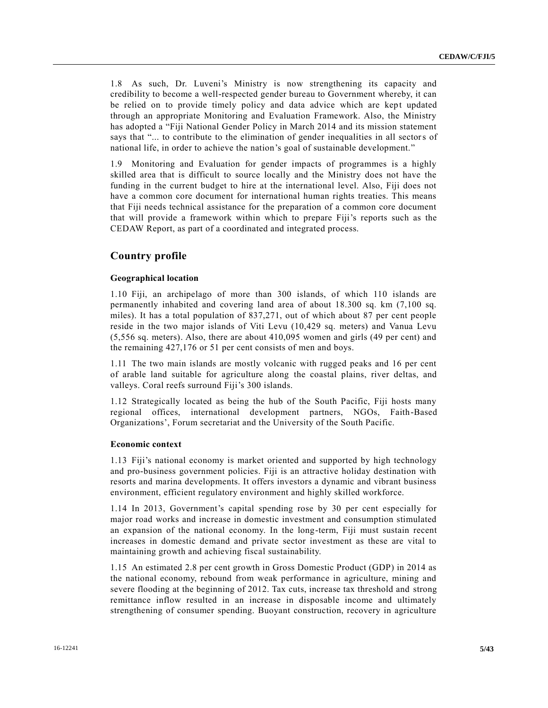1.8 As such, Dr. Luveni's Ministry is now strengthening its capacity and credibility to become a well-respected gender bureau to Government whereby, it can be relied on to provide timely policy and data advice which are kept updated through an appropriate Monitoring and Evaluation Framework. Also, the Ministry has adopted a "Fiji National Gender Policy in March 2014 and its mission statement says that "... to contribute to the elimination of gender inequalities in all sectors of national life, in order to achieve the nation's goal of sustainable development."

1.9 Monitoring and Evaluation for gender impacts of programmes is a highly skilled area that is difficult to source locally and the Ministry does not have the funding in the current budget to hire at the international level. Also, Fiji does not have a common core document for international human rights treaties. This means that Fiji needs technical assistance for the preparation of a common core document that will provide a framework within which to prepare Fiji's reports such as the CEDAW Report, as part of a coordinated and integrated process.

## **Country profile**

#### **Geographical location**

1.10 Fiji, an archipelago of more than 300 islands, of which 110 islands are permanently inhabited and covering land area of about 18.300 sq. km (7,100 sq. miles). It has a total population of 837,271, out of which about 87 per cent people reside in the two major islands of Viti Levu (10,429 sq. meters) and Vanua Levu (5,556 sq. meters). Also, there are about 410,095 women and girls (49 per cent) and the remaining 427,176 or 51 per cent consists of men and boys.

1.11 The two main islands are mostly volcanic with rugged peaks and 16 per cent of arable land suitable for agriculture along the coastal plains, river deltas, and valleys. Coral reefs surround Fiji's 300 islands.

1.12 Strategically located as being the hub of the South Pacific, Fiji hosts many regional offices, international development partners, NGOs, Faith-Based Organizations', Forum secretariat and the University of the South Pacific.

#### **Economic context**

1.13 Fiji's national economy is market oriented and supported by high technology and pro-business government policies. Fiji is an attractive holiday destination with resorts and marina developments. It offers investors a dynamic and vibrant business environment, efficient regulatory environment and highly skilled workforce.

1.14 In 2013, Government's capital spending rose by 30 per cent especially for major road works and increase in domestic investment and consumption stimulated an expansion of the national economy. In the long-term, Fiji must sustain recent increases in domestic demand and private sector investment as these are vital to maintaining growth and achieving fiscal sustainability.

1.15 An estimated 2.8 per cent growth in Gross Domestic Product (GDP) in 2014 as the national economy, rebound from weak performance in agriculture, mining and severe flooding at the beginning of 2012. Tax cuts, increase tax threshold and strong remittance inflow resulted in an increase in disposable income and ultimately strengthening of consumer spending. Buoyant construction, recovery in agriculture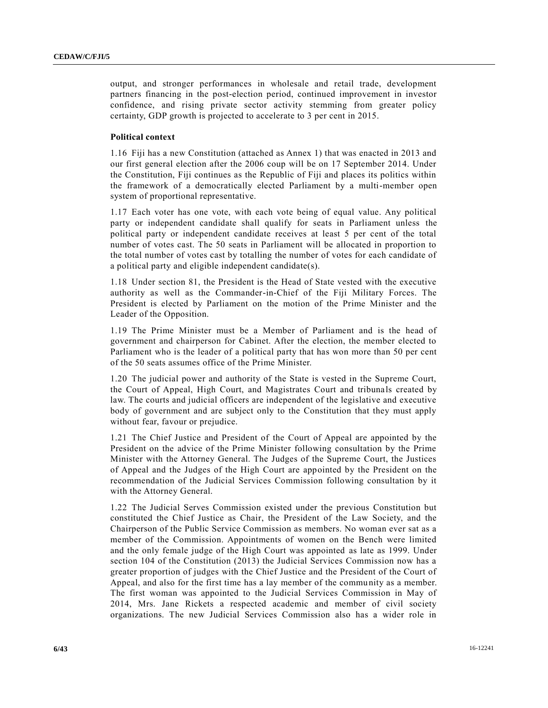output, and stronger performances in wholesale and retail trade, development partners financing in the post-election period, continued improvement in investor confidence, and rising private sector activity stemming from greater policy certainty, GDP growth is projected to accelerate to 3 per cent in 2015.

### **Political context**

1.16 Fiji has a new Constitution (attached as Annex 1) that was enacted in 2013 and our first general election after the 2006 coup will be on 17 September 2014. Under the Constitution, Fiji continues as the Republic of Fiji and places its politics within the framework of a democratically elected Parliament by a multi-member open system of proportional representative.

1.17 Each voter has one vote, with each vote being of equal value. Any political party or independent candidate shall qualify for seats in Parliament unless the political party or independent candidate receives at least 5 per cent of the total number of votes cast. The 50 seats in Parliament will be allocated in proportion to the total number of votes cast by totalling the number of votes for each candidate of a political party and eligible independent candidate(s).

1.18 Under section 81, the President is the Head of State vested with the executive authority as well as the Commander-in-Chief of the Fiji Military Forces. The President is elected by Parliament on the motion of the Prime Minister and the Leader of the Opposition.

1.19 The Prime Minister must be a Member of Parliament and is the head of government and chairperson for Cabinet. After the election, the member elected to Parliament who is the leader of a political party that has won more than 50 per cent of the 50 seats assumes office of the Prime Minister.

1.20 The judicial power and authority of the State is vested in the Supreme Court, the Court of Appeal, High Court, and Magistrates Court and tribuna ls created by law. The courts and judicial officers are independent of the legislative and executive body of government and are subject only to the Constitution that they must apply without fear, favour or prejudice.

1.21 The Chief Justice and President of the Court of Appeal are appointed by the President on the advice of the Prime Minister following consultation by the Prime Minister with the Attorney General. The Judges of the Supreme Court, the Justices of Appeal and the Judges of the High Court are appointed by the President on the recommendation of the Judicial Services Commission following consultation by it with the Attorney General.

1.22 The Judicial Serves Commission existed under the previous Constitution but constituted the Chief Justice as Chair, the President of the Law Society, and the Chairperson of the Public Service Commission as members. No woman ever sat as a member of the Commission. Appointments of women on the Bench were limited and the only female judge of the High Court was appointed as late as 1999. Under section 104 of the Constitution (2013) the Judicial Services Commission now has a greater proportion of judges with the Chief Justice and the President of the Court of Appeal, and also for the first time has a lay member of the community as a member. The first woman was appointed to the Judicial Services Commission in May of 2014, Mrs. Jane Rickets a respected academic and member of civil society organizations. The new Judicial Services Commission also has a wider role in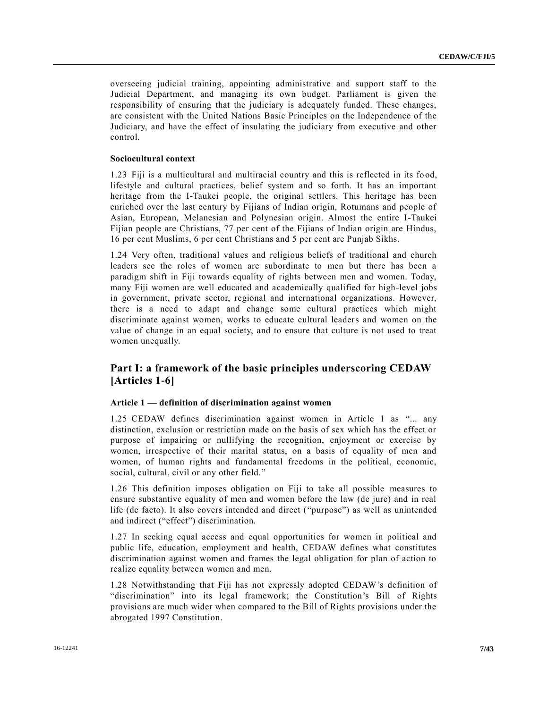overseeing judicial training, appointing administrative and support staff to the Judicial Department, and managing its own budget. Parliament is given the responsibility of ensuring that the judiciary is adequately funded. These changes, are consistent with the United Nations Basic Principles on the Independence of the Judiciary, and have the effect of insulating the judiciary from executive and other control.

#### **Sociocultural context**

1.23 Fiji is a multicultural and multiracial country and this is reflected in its fo od, lifestyle and cultural practices, belief system and so forth. It has an important heritage from the I-Taukei people, the original settlers. This heritage has been enriched over the last century by Fijians of Indian origin, Rotumans and people of Asian, European, Melanesian and Polynesian origin. Almost the entire I-Taukei Fijian people are Christians, 77 per cent of the Fijians of Indian origin are Hindus, 16 per cent Muslims, 6 per cent Christians and 5 per cent are Punjab Sikhs.

1.24 Very often, traditional values and religious beliefs of traditional and church leaders see the roles of women are subordinate to men but there has been a paradigm shift in Fiji towards equality of rights between men and women. Today, many Fiji women are well educated and academically qualified for high-level jobs in government, private sector, regional and international organizations. However, there is a need to adapt and change some cultural practices which might discriminate against women, works to educate cultural leaders and women on the value of change in an equal society, and to ensure that culture is not used to treat women unequally.

## **Part I: a framework of the basic principles underscoring CEDAW [Articles 1-6]**

#### **Article 1 — definition of discrimination against women**

1.25 CEDAW defines discrimination against women in Article 1 as "... any distinction, exclusion or restriction made on the basis of sex which has the effect or purpose of impairing or nullifying the recognition, enjoyment or exercise by women, irrespective of their marital status, on a basis of equality of men and women, of human rights and fundamental freedoms in the political, economic, social, cultural, civil or any other field."

1.26 This definition imposes obligation on Fiji to take all possible measures to ensure substantive equality of men and women before the law (de jure) and in real life (de facto). It also covers intended and direct ("purpose") as well as unintended and indirect ("effect") discrimination.

1.27 In seeking equal access and equal opportunities for women in political and public life, education, employment and health, CEDAW defines what constitutes discrimination against women and frames the legal obligation for plan of action to realize equality between women and men.

1.28 Notwithstanding that Fiji has not expressly adopted CEDAW's definition of "discrimination" into its legal framework; the Constitution's Bill of Rights provisions are much wider when compared to the Bill of Rights provisions under the abrogated 1997 Constitution.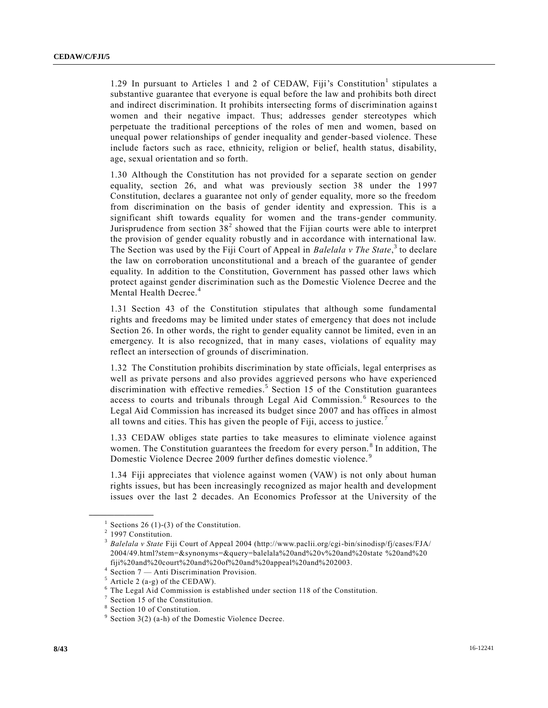1.29 In pursuant to Articles 1 and 2 of CEDAW, Fiji's Constitution<sup>1</sup> stipulates a substantive guarantee that everyone is equal before the law and prohibits both direct and indirect discrimination. It prohibits intersecting forms of discrimination against women and their negative impact. Thus; addresses gender stereotypes which perpetuate the traditional perceptions of the roles of men and women, based on unequal power relationships of gender inequality and gender-based violence. These include factors such as race, ethnicity, religion or belief, health status, disability, age, sexual orientation and so forth.

1.30 Although the Constitution has not provided for a separate section on gender equality, section 26, and what was previously section 38 under the 1997 Constitution, declares a guarantee not only of gender equality, more so the freedom from discrimination on the basis of gender identity and expression. This is a significant shift towards equality for women and the trans-gender community. Jurisprudence from section  $38<sup>2</sup>$  showed that the Fijian courts were able to interpret the provision of gender equality robustly and in accordance with international law. The Section was used by the Fiji Court of Appeal in *Balelala v The State*,<sup>3</sup> to declare the law on corroboration unconstitutional and a breach of the guarantee of gender equality. In addition to the Constitution, Government has passed other laws which protect against gender discrimination such as the Domestic Violence Decree and the Mental Health Decree.<sup>4</sup>

1.31 Section 43 of the Constitution stipulates that although some fundamental rights and freedoms may be limited under states of emergency that does not include Section 26. In other words, the right to gender equality cannot be limited, even in an emergency. It is also recognized, that in many cases, violations of equality may reflect an intersection of grounds of discrimination.

1.32 The Constitution prohibits discrimination by state officials, legal enterprises as well as private persons and also provides aggrieved persons who have experienced discrimination with effective remedies. 5 Section 15 of the Constitution guarantees access to courts and tribunals through Legal Aid Commission. <sup>6</sup> Resources to the Legal Aid Commission has increased its budget since 2007 and has offices in almost all towns and cities. This has given the people of Fiji, access to justice. <sup>7</sup>

1.33 CEDAW obliges state parties to take measures to eliminate violence against women. The Constitution guarantees the freedom for every person.<sup>8</sup> In addition, The Domestic Violence Decree 2009 further defines domestic violence.<sup>9</sup>

1.34 Fiji appreciates that violence against women (VAW) is not only about human rights issues, but has been increasingly recognized as major health and development issues over the last 2 decades. An Economics Professor at the University of the

<sup>&</sup>lt;sup>1</sup> Sections 26 (1)-(3) of the Constitution.

<sup>&</sup>lt;sup>2</sup> 1997 Constitution.

<sup>3</sup> *Balelala v State* Fiji Court of Appeal 2004 (http://www.paclii.org/cgi-bin/sinodisp/fj/cases/FJA/ 2004/49.html?stem=&synonyms=&query=balelala%20and%20v%20and%20state %20and%20 fiji%20and%20court%20and%20of%20and%20appeal%20and%202003.

<sup>4</sup> Section 7 — Anti Discrimination Provision.

 $<sup>5</sup>$  Article 2 (a-g) of the CEDAW).</sup>

 $6$  The Legal Aid Commission is established under section 118 of the Constitution.

<sup>&</sup>lt;sup>7</sup> Section 15 of the Constitution.

<sup>8</sup> Section 10 of Constitution.

 $9$  Section 3(2) (a-h) of the Domestic Violence Decree.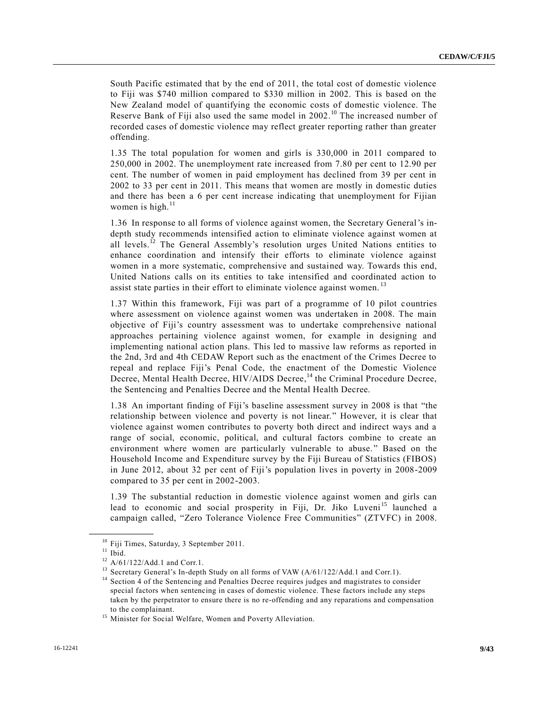South Pacific estimated that by the end of 2011, the total cost of domestic violence to Fiji was \$740 million compared to \$330 million in 2002. This is based on the New Zealand model of quantifying the economic costs of domestic violence. The Reserve Bank of Fiji also used the same model in 2002.<sup>10</sup> The increased number of recorded cases of domestic violence may reflect greater reporting rather than greater offending.

1.35 The total population for women and girls is 330,000 in 2011 compared to 250,000 in 2002. The unemployment rate increased from 7.80 per cent to 12.90 per cent. The number of women in paid employment has declined from 39 per cent in 2002 to 33 per cent in 2011. This means that women are mostly in domestic duties and there has been a 6 per cent increase indicating that unemployment for Fijian women is high. $^{11}$ 

1.36 In response to all forms of violence against women, the Secretary General's indepth study recommends intensified action to eliminate violence against women at all levels.<sup>12</sup> The General Assembly's resolution urges United Nations entities to enhance coordination and intensify their efforts to eliminate violence against women in a more systematic, comprehensive and sustained way. Towards this end, United Nations calls on its entities to take intensified and coordinated action to assist state parties in their effort to eliminate violence against women.<sup>13</sup>

1.37 Within this framework, Fiji was part of a programme of 10 pilot countries where assessment on violence against women was undertaken in 2008. The main objective of Fiji's country assessment was to undertake comprehensive national approaches pertaining violence against women, for example in designing and implementing national action plans. This led to massive law reforms as reported in the 2nd, 3rd and 4th CEDAW Report such as the enactment of the Crimes Decree to repeal and replace Fiji's Penal Code, the enactment of the Domestic Violence Decree, Mental Health Decree, HIV/AIDS Decree,<sup>14</sup> the Criminal Procedure Decree, the Sentencing and Penalties Decree and the Mental Health Decree.

1.38 An important finding of Fiji's baseline assessment survey in 2008 is that "the relationship between violence and poverty is not linear." However, it is clear that violence against women contributes to poverty both direct and indirect ways and a range of social, economic, political, and cultural factors combine to create an environment where women are particularly vulnerable to abuse. " Based on the Household Income and Expenditure survey by the Fiji Bureau of Statistics (FIBOS) in June 2012, about 32 per cent of Fiji's population lives in poverty in 2008-2009 compared to 35 per cent in 2002-2003.

1.39 The substantial reduction in domestic violence against women and girls can lead to economic and social prosperity in Fiji, Dr. Jiko Luveni<sup>15</sup> launched a campaign called, "Zero Tolerance Violence Free Communities" (ZTVFC) in 2008.

<sup>&</sup>lt;sup>10</sup> Fiji Times, Saturday, 3 September 2011.

 $11$  Ibid.

 $^{12}$  A/61/122/Add.1 and Corr.1.

Secretary General's In-depth Study on all forms of VAW (A/61/122/Add.1 and Corr.1).

<sup>&</sup>lt;sup>14</sup> Section 4 of the Sentencing and Penalties Decree requires judges and magistrates to consider special factors when sentencing in cases of domestic violence. These factors include any steps taken by the perpetrator to ensure there is no re-offending and any reparations and compensation to the complainant.

<sup>&</sup>lt;sup>15</sup> Minister for Social Welfare, Women and Poverty Alleviation.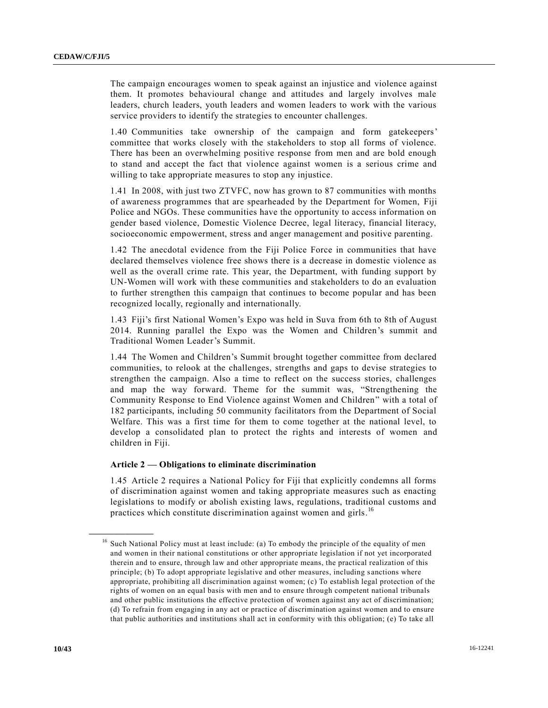The campaign encourages women to speak against an injustice and violence against them. It promotes behavioural change and attitudes and largely involves male leaders, church leaders, youth leaders and women leaders to work with the various service providers to identify the strategies to encounter challenges.

1.40 Communities take ownership of the campaign and form gatekeepers' committee that works closely with the stakeholders to stop all forms of violence. There has been an overwhelming positive response from men and are bold enough to stand and accept the fact that violence against women is a serious crime and willing to take appropriate measures to stop any injustice.

1.41 In 2008, with just two ZTVFC, now has grown to 87 communities with months of awareness programmes that are spearheaded by the Department for Women, Fiji Police and NGOs. These communities have the opportunity to access information on gender based violence, Domestic Violence Decree, legal literacy, financial literacy, socioeconomic empowerment, stress and anger management and positive parenting.

1.42 The anecdotal evidence from the Fiji Police Force in communities that have declared themselves violence free shows there is a decrease in domestic violence as well as the overall crime rate. This year, the Department, with funding support by UN-Women will work with these communities and stakeholders to do an evaluation to further strengthen this campaign that continues to become popular and has been recognized locally, regionally and internationally.

1.43 Fiji's first National Women's Expo was held in Suva from 6th to 8th of August 2014. Running parallel the Expo was the Women and Children's summit and Traditional Women Leader's Summit.

1.44 The Women and Children's Summit brought together committee from declared communities, to relook at the challenges, strengths and gaps to devise strategies to strengthen the campaign. Also a time to reflect on the success stories, challenges and map the way forward. Theme for the summit was, "Strengthening the Community Response to End Violence against Women and Children" with a total of 182 participants, including 50 community facilitators from the Department of Social Welfare. This was a first time for them to come together at the national level, to develop a consolidated plan to protect the rights and interests of women and children in Fiji.

### **Article 2 — Obligations to eliminate discrimination**

1.45 Article 2 requires a National Policy for Fiji that explicitly condemns all forms of discrimination against women and taking appropriate measures such as enacting legislations to modify or abolish existing laws, regulations, traditional customs and practices which constitute discrimination against women and girls.<sup>16</sup>

<sup>&</sup>lt;sup>16</sup> Such National Policy must at least include: (a) To embody the principle of the equality of men and women in their national constitutions or other appropriate legislation if not yet incorporated therein and to ensure, through law and other appropriate means, the practical realization of this principle; (b) To adopt appropriate legislative and other measures, including s anctions where appropriate, prohibiting all discrimination against women; (c) To establish legal protection of the rights of women on an equal basis with men and to ensure through competent national tribunals and other public institutions the effective protection of women against any act of discrimination; (d) To refrain from engaging in any act or practice of discrimination against women and to ensure that public authorities and institutions shall act in conformity with this obligation; (e) To take all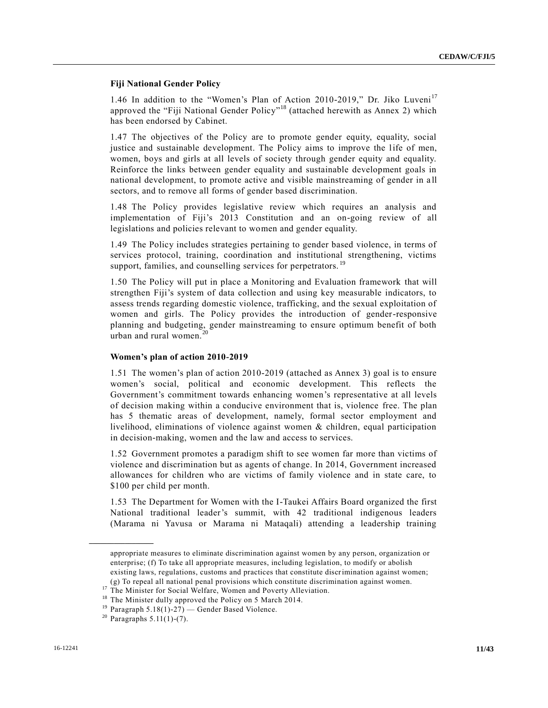## **Fiji National Gender Policy**

1.46 In addition to the "Women's Plan of Action 2010-2019," Dr. Jiko Luveni<sup>17</sup> approved the "Fiji National Gender Policy"<sup>18</sup> (attached herewith as Annex 2) which has been endorsed by Cabinet.

1.47 The objectives of the Policy are to promote gender equity, equality, social justice and sustainable development. The Policy aims to improve the life of men, women, boys and girls at all levels of society through gender equity and equality. Reinforce the links between gender equality and sustainable development goals in national development, to promote active and visible mainstreaming of gender in a ll sectors, and to remove all forms of gender based discrimination.

1.48 The Policy provides legislative review which requires an analysis and implementation of Fiji's 2013 Constitution and an on-going review of all legislations and policies relevant to women and gender equality.

1.49 The Policy includes strategies pertaining to gender based violence, in terms of services protocol, training, coordination and institutional strengthening, victims support, families, and counselling services for perpetrators.<sup>19</sup>

1.50 The Policy will put in place a Monitoring and Evaluation framework that will strengthen Fiji's system of data collection and using key measurable indicators, to assess trends regarding domestic violence, trafficking, and the sexual exploitation of women and girls. The Policy provides the introduction of gender-responsive planning and budgeting, gender mainstreaming to ensure optimum benefit of both urban and rural women.<sup>20</sup>

#### **Women's plan of action 2010-2019**

1.51 The women's plan of action 2010-2019 (attached as Annex 3) goal is to ensure women's social, political and economic development. This reflects the Government's commitment towards enhancing women's representative at all levels of decision making within a conducive environment that is, violence free. The plan has 5 thematic areas of development, namely, formal sector employment and livelihood, eliminations of violence against women & children, equal participation in decision-making, women and the law and access to services.

1.52 Government promotes a paradigm shift to see women far more than victims of violence and discrimination but as agents of change. In 2014, Government increased allowances for children who are victims of family violence and in state care, to \$100 per child per month.

1.53 The Department for Women with the I-Taukei Affairs Board organized the first National traditional leader's summit, with 42 traditional indigenous leaders (Marama ni Yavusa or Marama ni Mataqali) attending a leadership training

appropriate measures to eliminate discrimination against women by any person, organization or enterprise; (f) To take all appropriate measures, including legislation, to modify or abolish existing laws, regulations, customs and practices that constitute discrimination against women; (g) To repeal all national penal provisions which constitute discrimination against women.

<sup>&</sup>lt;sup>17</sup> The Minister for Social Welfare, Women and Poverty Alleviation.

<sup>&</sup>lt;sup>18</sup> The Minister dully approved the Policy on 5 March 2014.

<sup>&</sup>lt;sup>19</sup> Paragraph 5.18(1)-27) — Gender Based Violence.

 $20$  Paragraphs 5.11(1)-(7).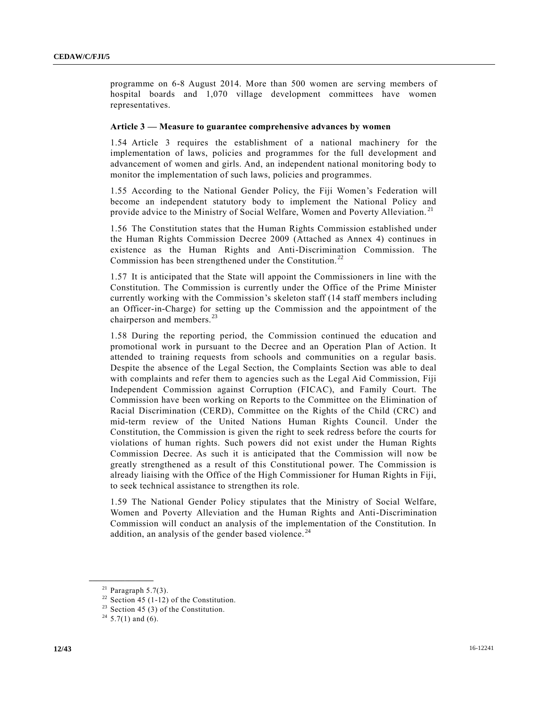programme on 6-8 August 2014. More than 500 women are serving members of hospital boards and 1,070 village development committees have women representatives.

#### **Article 3 — Measure to guarantee comprehensive advances by women**

1.54 Article 3 requires the establishment of a national machinery for the implementation of laws, policies and programmes for the full development and advancement of women and girls. And, an independent national monitoring body to monitor the implementation of such laws, policies and programmes.

1.55 According to the National Gender Policy, the Fiji Women's Federation will become an independent statutory body to implement the National Policy and provide advice to the Ministry of Social Welfare, Women and Poverty Alleviation. <sup>21</sup>

1.56 The Constitution states that the Human Rights Commission established under the Human Rights Commission Decree 2009 (Attached as Annex 4) continues in existence as the Human Rights and Anti-Discrimination Commission. The Commission has been strengthened under the Constitution. <sup>22</sup>

1.57 It is anticipated that the State will appoint the Commissioners in line with the Constitution. The Commission is currently under the Office of the Prime Minister currently working with the Commission's skeleton staff (14 staff members including an Officer-in-Charge) for setting up the Commission and the appointment of the chairperson and members.<sup>23</sup>

1.58 During the reporting period, the Commission continued the education and promotional work in pursuant to the Decree and an Operation Plan of Action. It attended to training requests from schools and communities on a regular basis. Despite the absence of the Legal Section, the Complaints Section was able to deal with complaints and refer them to agencies such as the Legal Aid Commission, Fiji Independent Commission against Corruption (FICAC), and Family Court. The Commission have been working on Reports to the Committee on the Elimination of Racial Discrimination (CERD), Committee on the Rights of the Child (CRC) and mid-term review of the United Nations Human Rights Council. Under the Constitution, the Commission is given the right to seek redress before the courts for violations of human rights. Such powers did not exist under the Human Rights Commission Decree. As such it is anticipated that the Commission will now be greatly strengthened as a result of this Constitutional power. The Commission is already liaising with the Office of the High Commissioner for Human Rights in Fiji, to seek technical assistance to strengthen its role.

1.59 The National Gender Policy stipulates that the Ministry of Social Welfare, Women and Poverty Alleviation and the Human Rights and Anti-Discrimination Commission will conduct an analysis of the implementation of the Constitution. In addition, an analysis of the gender based violence.<sup>24</sup>

 $21$  Paragraph 5.7(3).

<sup>&</sup>lt;sup>22</sup> Section 45 (1-12) of the Constitution.

<sup>&</sup>lt;sup>23</sup> Section 45 (3) of the Constitution.

<sup>&</sup>lt;sup>24</sup> 5.7(1) and (6).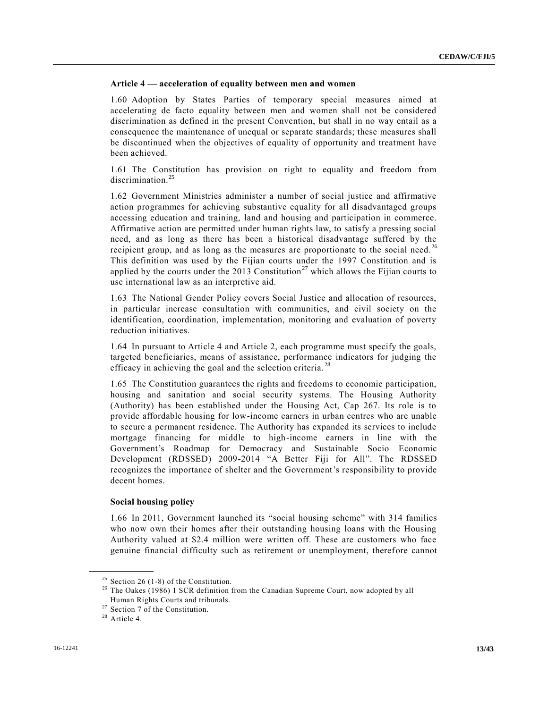## **Article 4 — acceleration of equality between men and women**

1.60 Adoption by States Parties of temporary special measures aimed at accelerating de facto equality between men and women shall not be considered discrimination as defined in the present Convention, but shall in no way entail as a consequence the maintenance of unequal or separate standards; these measures shall be discontinued when the objectives of equality of opportunity and treatment have been achieved.

1.61 The Constitution has provision on right to equality and freedom from discrimination.<sup>25</sup>

1.62 Government Ministries administer a number of social justice and affirmative action programmes for achieving substantive equality for all disadvantaged groups accessing education and training, land and housing and participation in commerce. Affirmative action are permitted under human rights law, to satisfy a pressing social need, and as long as there has been a historical disadvantage suffered by the recipient group, and as long as the measures are proportionate to the social need.<sup>26</sup> This definition was used by the Fijian courts under the 1997 Constitution and is applied by the courts under the 2013 Constitution<sup>27</sup> which allows the Fijian courts to use international law as an interpretive aid.

1.63 The National Gender Policy covers Social Justice and allocation of resources, in particular increase consultation with communities, and civil society on the identification, coordination, implementation, monitoring and evaluation of poverty reduction initiatives.

1.64 In pursuant to Article 4 and Article 2, each programme must specify the goals, targeted beneficiaries, means of assistance, performance indicators for judging the efficacy in achieving the goal and the selection criteria.<sup>28</sup>

1.65 The Constitution guarantees the rights and freedoms to economic participation, housing and sanitation and social security systems. The Housing Authority (Authority) has been established under the Housing Act, Cap 267. Its role is to provide affordable housing for low-income earners in urban centres who are unable to secure a permanent residence. The Authority has expanded its services to include mortgage financing for middle to high-income earners in line with the Government's Roadmap for Democracy and Sustainable Socio Economic Development (RDSSED) 2009-2014 "A Better Fiji for All". The RDSSED recognizes the importance of shelter and the Government's responsibility to provide decent homes.

#### **Social housing policy**

1.66 In 2011, Government launched its "social housing scheme" with 314 families who now own their homes after their outstanding housing loans with the Housing Authority valued at \$2.4 million were written off. These are customers who face genuine financial difficulty such as retirement or unemployment, therefore cannot

<sup>&</sup>lt;sup>25</sup> Section 26 (1-8) of the Constitution.

<sup>&</sup>lt;sup>26</sup> The Oakes (1986) 1 SCR definition from the Canadian Supreme Court, now adopted by all Human Rights Courts and tribunals.

 $27$  Section 7 of the Constitution.

<sup>28</sup> Article 4.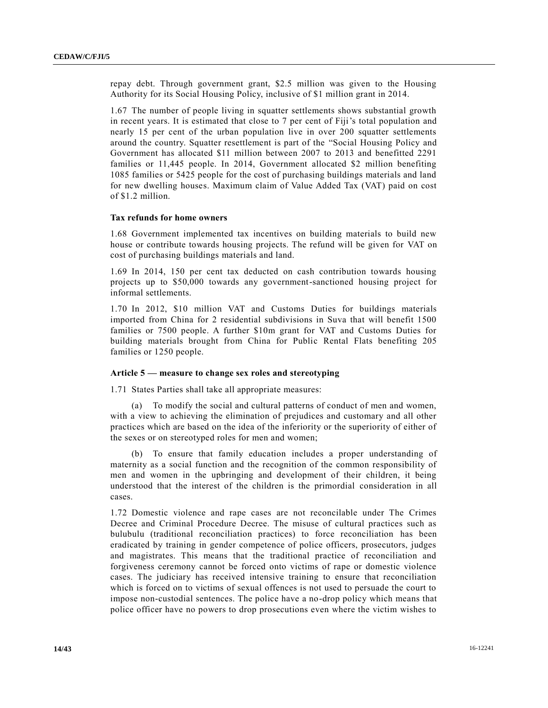repay debt. Through government grant, \$2.5 million was given to the Housing Authority for its Social Housing Policy, inclusive of \$1 million grant in 2014.

1.67 The number of people living in squatter settlements shows substantial growth in recent years. It is estimated that close to 7 per cent of Fiji's total population and nearly 15 per cent of the urban population live in over 200 squatter settlements around the country. Squatter resettlement is part of the "Social Housing Policy and Government has allocated \$11 million between 2007 to 2013 and benefitted 2291 families or 11,445 people. In 2014, Government allocated \$2 million benefiting 1085 families or 5425 people for the cost of purchasing buildings materials and land for new dwelling houses. Maximum claim of Value Added Tax (VAT) paid on cost of \$1.2 million.

#### **Tax refunds for home owners**

1.68 Government implemented tax incentives on building materials to build new house or contribute towards housing projects. The refund will be given for VAT on cost of purchasing buildings materials and land.

1.69 In 2014, 150 per cent tax deducted on cash contribution towards housing projects up to \$50,000 towards any government-sanctioned housing project for informal settlements.

1.70 In 2012, \$10 million VAT and Customs Duties for buildings materials imported from China for 2 residential subdivisions in Suva that will benefit 1500 families or 7500 people. A further \$10m grant for VAT and Customs Duties for building materials brought from China for Public Rental Flats benefiting 205 families or 1250 people.

#### **Article 5 — measure to change sex roles and stereotyping**

1.71 States Parties shall take all appropriate measures:

(a) To modify the social and cultural patterns of conduct of men and women, with a view to achieving the elimination of prejudices and customary and all other practices which are based on the idea of the inferiority or the superiority of either of the sexes or on stereotyped roles for men and women;

(b) To ensure that family education includes a proper understanding of maternity as a social function and the recognition of the common responsibility of men and women in the upbringing and development of their children, it being understood that the interest of the children is the primordial consideration in all cases.

1.72 Domestic violence and rape cases are not reconcilable under The Crimes Decree and Criminal Procedure Decree. The misuse of cultural practices such as bulubulu (traditional reconciliation practices) to force reconciliation has been eradicated by training in gender competence of police officers, prosecutors, judges and magistrates. This means that the traditional practice of reconciliation and forgiveness ceremony cannot be forced onto victims of rape or domestic violence cases. The judiciary has received intensive training to ensure that reconciliation which is forced on to victims of sexual offences is not used to persuade the court to impose non-custodial sentences. The police have a no-drop policy which means that police officer have no powers to drop prosecutions even where the victim wishes to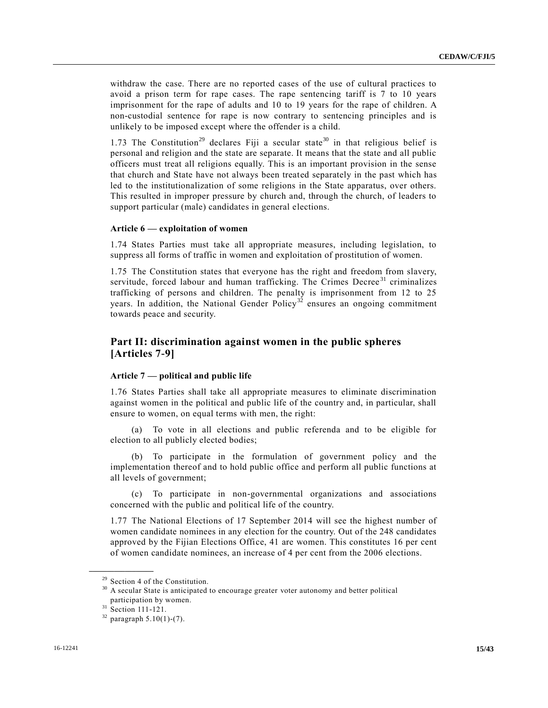withdraw the case. There are no reported cases of the use of cultural practices to avoid a prison term for rape cases. The rape sentencing tariff is 7 to 10 years imprisonment for the rape of adults and 10 to 19 years for the rape of children. A non-custodial sentence for rape is now contrary to sentencing principles and is unlikely to be imposed except where the offender is a child.

1.73 The Constitution<sup>29</sup> declares Fiji a secular state<sup>30</sup> in that religious belief is personal and religion and the state are separate. It means that the state and all public officers must treat all religions equally. This is an important provision in the sense that church and State have not always been treated separately in the past which has led to the institutionalization of some religions in the State apparatus, over others. This resulted in improper pressure by church and, through the church, of leaders to support particular (male) candidates in general elections.

#### **Article 6 — exploitation of women**

1.74 States Parties must take all appropriate measures, including legislation, to suppress all forms of traffic in women and exploitation of prostitution of women.

1.75 The Constitution states that everyone has the right and freedom from slavery, servitude, forced labour and human trafficking. The Crimes Decree<sup>31</sup> criminalizes trafficking of persons and children. The penalty is imprisonment from 12 to 25 years. In addition, the National Gender Policy<sup>32</sup> ensures an ongoing commitment towards peace and security.

## **Part II: discrimination against women in the public spheres [Articles 7-9]**

#### **Article 7 — political and public life**

1.76 States Parties shall take all appropriate measures to eliminate discrimination against women in the political and public life of the country and, in particular, shall ensure to women, on equal terms with men, the right:

(a) To vote in all elections and public referenda and to be eligible for election to all publicly elected bodies;

(b) To participate in the formulation of government policy and the implementation thereof and to hold public office and perform all public functions at all levels of government;

(c) To participate in non-governmental organizations and associations concerned with the public and political life of the country.

1.77 The National Elections of 17 September 2014 will see the highest number of women candidate nominees in any election for the country. Out of the 248 candidates approved by the Fijian Elections Office, 41 are women. This constitutes 16 per cent of women candidate nominees, an increase of 4 per cent from the 2006 elections.

 $29$  Section 4 of the Constitution.

<sup>&</sup>lt;sup>30</sup> A secular State is anticipated to encourage greater voter autonomy and better political participation by women.

 $31 \text{ Section } 111 - 121.$ 

 $32$  paragraph 5.10(1)-(7).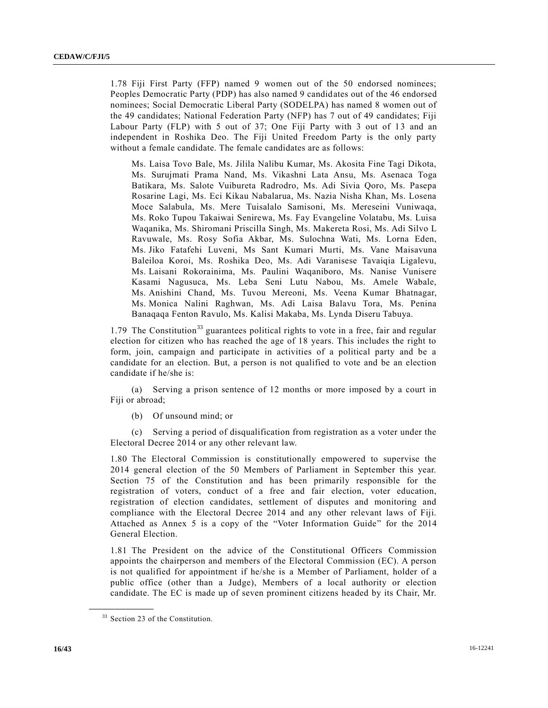1.78 Fiji First Party (FFP) named 9 women out of the 50 endorsed nominees; Peoples Democratic Party (PDP) has also named 9 candidates out of the 46 endorsed nominees; Social Democratic Liberal Party (SODELPA) has named 8 women out of the 49 candidates; National Federation Party (NFP) has 7 out of 49 candidates; Fiji Labour Party (FLP) with 5 out of 37; One Fiji Party with 3 out of 13 and an independent in Roshika Deo. The Fiji United Freedom Party is the only party without a female candidate. The female candidates are as follows:

Ms. Laisa Tovo Bale, Ms. Jilila Nalibu Kumar, Ms. Akosita Fine Tagi Dikota, Ms. Surujmati Prama Nand, Ms. Vikashni Lata Ansu, Ms. Asenaca Toga Batikara, Ms. Salote Vuibureta Radrodro, Ms. Adi Sivia Qoro, Ms. Pasepa Rosarine Lagi, Ms. Eci Kikau Nabalarua, Ms. Nazia Nisha Khan, Ms. Losena Moce Salabula, Ms. Mere Tuisalalo Samisoni, Ms. Mereseini Vuniwaqa, Ms. Roko Tupou Takaiwai Senirewa, Ms. Fay Evangeline Volatabu, Ms. Luisa Waqanika, Ms. Shiromani Priscilla Singh, Ms. Makereta Rosi, Ms. Adi Silvo L Ravuwale, Ms. Rosy Sofia Akbar, Ms. Sulochna Wati, Ms. Lorna Eden, Ms. Jiko Fatafehi Luveni, Ms Sant Kumari Murti, Ms. Vane Maisavuna Baleiloa Koroi, Ms. Roshika Deo, Ms. Adi Varanisese Tavaiqia Ligalevu, Ms. Laisani Rokorainima, Ms. Paulini Waqaniboro, Ms. Nanise Vunisere Kasami Nagusuca, Ms. Leba Seni Lutu Nabou, Ms. Amele Wabale, Ms. Anishini Chand, Ms. Tuvou Mereoni, Ms. Veena Kumar Bhatnagar, Ms. Monica Nalini Raghwan, Ms. Adi Laisa Balavu Tora, Ms. Penina Banaqaqa Fenton Ravulo, Ms. Kalisi Makaba, Ms. Lynda Diseru Tabuya.

1.79 The Constitution<sup>33</sup> guarantees political rights to vote in a free, fair and regular election for citizen who has reached the age of 18 years. This includes the right to form, join, campaign and participate in activities of a political party and be a candidate for an election. But, a person is not qualified to vote and be an election candidate if he/she is:

(a) Serving a prison sentence of 12 months or more imposed by a court in Fiji or abroad;

(b) Of unsound mind; or

(c) Serving a period of disqualification from registration as a voter under the Electoral Decree 2014 or any other relevant law.

1.80 The Electoral Commission is constitutionally empowered to supervise the 2014 general election of the 50 Members of Parliament in September this year. Section 75 of the Constitution and has been primarily responsible for the registration of voters, conduct of a free and fair election, voter education, registration of election candidates, settlement of disputes and monitoring and compliance with the Electoral Decree 2014 and any other relevant laws of Fiji. Attached as Annex 5 is a copy of the "Voter Information Guide" for the 2014 General Election.

1.81 The President on the advice of the Constitutional Officers Commission appoints the chairperson and members of the Electoral Commission (EC). A person is not qualified for appointment if he/she is a Member of Parliament, holder of a public office (other than a Judge), Members of a local authority or election candidate. The EC is made up of seven prominent citizens headed by its Chair, Mr.

<sup>&</sup>lt;sup>33</sup> Section 23 of the Constitution.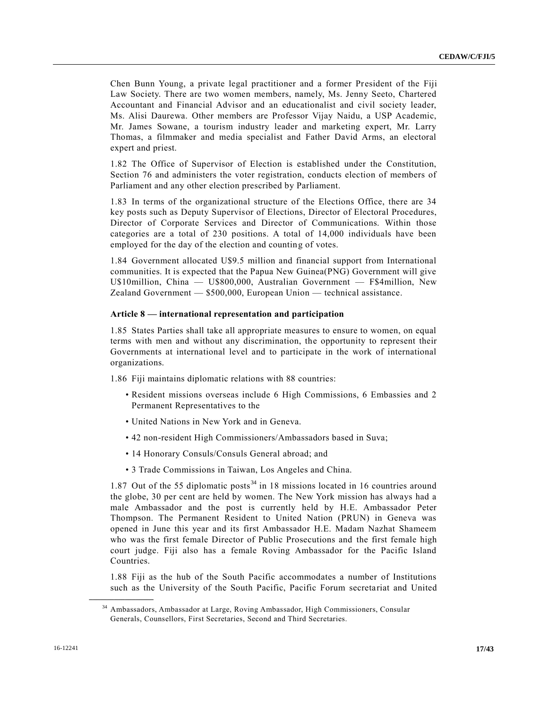Chen Bunn Young, a private legal practitioner and a former President of the Fiji Law Society. There are two women members, namely, Ms. Jenny Seeto, Chartered Accountant and Financial Advisor and an educationalist and civil society leader, Ms. Alisi Daurewa. Other members are Professor Vijay Naidu, a USP Academic, Mr. James Sowane, a tourism industry leader and marketing expert, Mr. Larry Thomas, a filmmaker and media specialist and Father David Arms, an electoral expert and priest.

1.82 The Office of Supervisor of Election is established under the Constitution, Section 76 and administers the voter registration, conducts election of members of Parliament and any other election prescribed by Parliament.

1.83 In terms of the organizational structure of the Elections Office, there are 34 key posts such as Deputy Supervisor of Elections, Director of Electoral Procedures, Director of Corporate Services and Director of Communications. Within those categories are a total of 230 positions. A total of 14,000 individuals have been employed for the day of the election and counting of votes.

1.84 Government allocated U\$9.5 million and financial support from International communities. It is expected that the Papua New Guinea(PNG) Government will give U\$10million, China — U\$800,000, Australian Government — F\$4million, New Zealand Government — \$500,000, European Union — technical assistance.

#### **Article 8 — international representation and participation**

1.85 States Parties shall take all appropriate measures to ensure to women, on equal terms with men and without any discrimination, the opportunity to represent their Governments at international level and to participate in the work of international organizations.

1.86 Fiji maintains diplomatic relations with 88 countries:

- Resident missions overseas include 6 High Commissions, 6 Embassies and 2 Permanent Representatives to the
- United Nations in New York and in Geneva.
- 42 non-resident High Commissioners/Ambassadors based in Suva;
- 14 Honorary Consuls/Consuls General abroad; and
- 3 Trade Commissions in Taiwan, Los Angeles and China.

1.87 Out of the 55 diplomatic posts<sup>34</sup> in 18 missions located in 16 countries around the globe, 30 per cent are held by women. The New York mission has always had a male Ambassador and the post is currently held by H.E. Ambassador Peter Thompson. The Permanent Resident to United Nation (PRUN) in Geneva was opened in June this year and its first Ambassador H.E. Madam Nazhat Shameem who was the first female Director of Public Prosecutions and the first female high court judge. Fiji also has a female Roving Ambassador for the Pacific Island Countries.

1.88 Fiji as the hub of the South Pacific accommodates a number of Institutions such as the University of the South Pacific, Pacific Forum secretariat and United

<sup>34</sup> Ambassadors, Ambassador at Large, Roving Ambassador, High Commissioners, Consular Generals, Counsellors, First Secretaries, Second and Third Secretaries.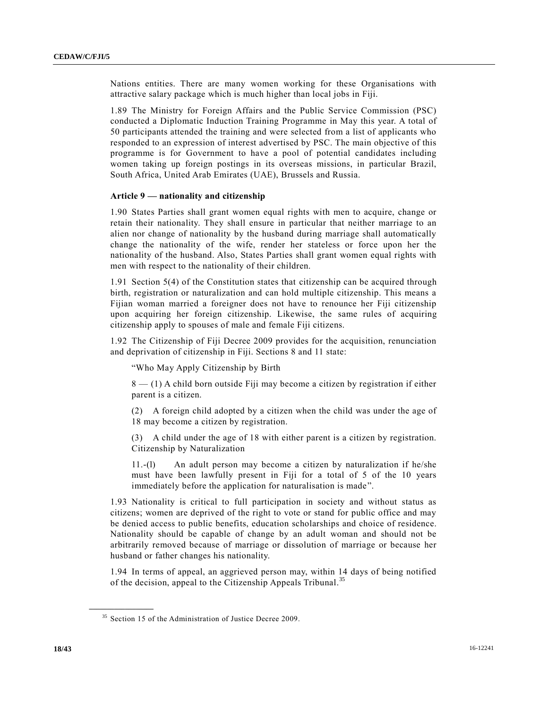Nations entities. There are many women working for these Organisations with attractive salary package which is much higher than local jobs in Fiji.

1.89 The Ministry for Foreign Affairs and the Public Service Commission (PSC) conducted a Diplomatic Induction Training Programme in May this year. A total of 50 participants attended the training and were selected from a list of applicants who responded to an expression of interest advertised by PSC. The main objective of this programme is for Government to have a pool of potential candidates including women taking up foreign postings in its overseas missions, in particular Brazil, South Africa, United Arab Emirates (UAE), Brussels and Russia.

## **Article 9 — nationality and citizenship**

1.90 States Parties shall grant women equal rights with men to acquire, change or retain their nationality. They shall ensure in particular that neither marriage to an alien nor change of nationality by the husband during marriage shall automatically change the nationality of the wife, render her stateless or force upon her the nationality of the husband. Also, States Parties shall grant women equal rights with men with respect to the nationality of their children.

1.91 Section 5(4) of the Constitution states that citizenship can be acquired through birth, registration or naturalization and can hold multiple citizenship. This means a Fijian woman married a foreigner does not have to renounce her Fiji citizenship upon acquiring her foreign citizenship. Likewise, the same rules of acquiring citizenship apply to spouses of male and female Fiji citizens.

1.92 The Citizenship of Fiji Decree 2009 provides for the acquisition, renunciation and deprivation of citizenship in Fiji. Sections 8 and 11 state:

"Who May Apply Citizenship by Birth

8 — (1) A child born outside Fiji may become a citizen by registration if either parent is a citizen.

(2) A foreign child adopted by a citizen when the child was under the age of 18 may become a citizen by registration.

(3) A child under the age of 18 with either parent is a citizen by registration. Citizenship by Naturalization

11.-(l) An adult person may become a citizen by naturalization if he/she must have been lawfully present in Fiji for a total of 5 of the 10 years immediately before the application for naturalisation is made".

1.93 Nationality is critical to full participation in society and without status as citizens; women are deprived of the right to vote or stand for public office and may be denied access to public benefits, education scholarships and choice of residence. Nationality should be capable of change by an adult woman and should not be arbitrarily removed because of marriage or dissolution of marriage or because her husband or father changes his nationality.

1.94 In terms of appeal, an aggrieved person may, within 14 days of being notified of the decision, appeal to the Citizenship Appeals Tribunal.<sup>35</sup>

<sup>&</sup>lt;sup>35</sup> Section 15 of the Administration of Justice Decree 2009.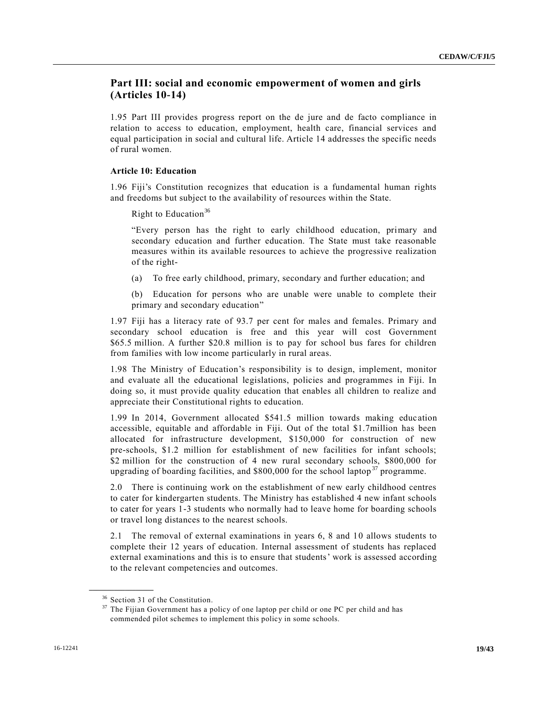## **Part III: social and economic empowerment of women and girls (Articles 10-14)**

1.95 Part III provides progress report on the de jure and de facto compliance in relation to access to education, employment, health care, financial services and equal participation in social and cultural life. Article 14 addresses the specific needs of rural women.

#### **Article 10: Education**

1.96 Fiji's Constitution recognizes that education is a fundamental human rights and freedoms but subject to the availability of resources within the State.

Right to Education<sup>36</sup>

"Every person has the right to early childhood education, primary and secondary education and further education. The State must take reasonable measures within its available resources to achieve the progressive realization of the right-

(a) To free early childhood, primary, secondary and further education; and

(b) Education for persons who are unable were unable to complete their primary and secondary education"

1.97 Fiji has a literacy rate of 93.7 per cent for males and females. Primary and secondary school education is free and this year will cost Government \$65.5 million. A further \$20.8 million is to pay for school bus fares for children from families with low income particularly in rural areas.

1.98 The Ministry of Education's responsibility is to design, implement, monitor and evaluate all the educational legislations, policies and programmes in Fiji. In doing so, it must provide quality education that enables all children to realize and appreciate their Constitutional rights to education.

1.99 In 2014, Government allocated \$541.5 million towards making educ ation accessible, equitable and affordable in Fiji. Out of the total \$1.7million has been allocated for infrastructure development, \$150,000 for construction of new pre-schools, \$1.2 million for establishment of new facilities for infant schools; \$2 million for the construction of 4 new rural secondary schools, \$800,000 for upgrading of boarding facilities, and  $$800,000$  for the school laptop<sup>37</sup> programme.

2.0 There is continuing work on the establishment of new early childhood centres to cater for kindergarten students. The Ministry has established 4 new infant schools to cater for years 1-3 students who normally had to leave home for boarding schools or travel long distances to the nearest schools.

2.1 The removal of external examinations in years 6, 8 and 10 allows students to complete their 12 years of education. Internal assessment of students has replaced external examinations and this is to ensure that students' work is assessed according to the relevant competencies and outcomes.

<sup>36</sup> Section 31 of the Constitution.

<sup>&</sup>lt;sup>37</sup> The Fijian Government has a policy of one laptop per child or one PC per child and has commended pilot schemes to implement this policy in some schools.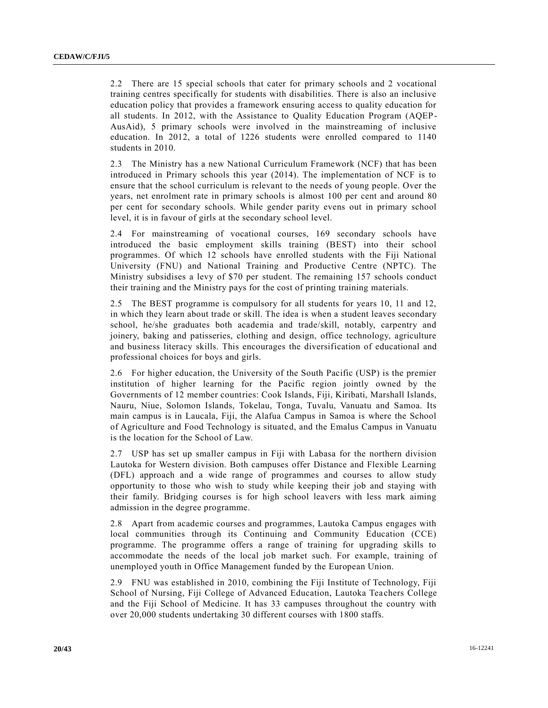2.2 There are 15 special schools that cater for primary schools and 2 vocational training centres specifically for students with disabilities. There is also an inclusive education policy that provides a framework ensuring access to quality education for all students. In 2012, with the Assistance to Quality Education Program (AQEP-AusAid), 5 primary schools were involved in the mainstreaming of inclusive education. In 2012, a total of 1226 students were enrolled compared to 1140 students in 2010.

2.3 The Ministry has a new National Curriculum Framework (NCF) that has been introduced in Primary schools this year (2014). The implementation of NCF is to ensure that the school curriculum is relevant to the needs of young people. Over the years, net enrolment rate in primary schools is almost 100 per cent and around 80 per cent for secondary schools. While gender parity evens out in primary school level, it is in favour of girls at the secondary school level.

2.4 For mainstreaming of vocational courses, 169 secondary schools have introduced the basic employment skills training (BEST) into their school programmes. Of which 12 schools have enrolled students with the Fiji National University (FNU) and National Training and Productive Centre (NPTC). The Ministry subsidises a levy of \$70 per student. The remaining 157 schools conduct their training and the Ministry pays for the cost of printing training materials.

2.5 The BEST programme is compulsory for all students for years 10, 11 and 12, in which they learn about trade or skill. The idea is when a student leaves secondary school, he/she graduates both academia and trade/skill, notably, carpentry and joinery, baking and patisseries, clothing and design, office technology, agriculture and business literacy skills. This encourages the diversification of educational and professional choices for boys and girls.

2.6 For higher education, the University of the South Pacific (USP) is the premier institution of higher learning for the Pacific region jointly owned by the Governments of 12 member countries: Cook Islands, Fiji, Kiribati, Marshall Islands, Nauru, Niue, Solomon Islands, Tokelau, Tonga, Tuvalu, Vanuatu and Samoa. Its main campus is in Laucala, Fiji, the Alafua Campus in Samoa is where the School of Agriculture and Food Technology is situated, and the Emalus Campus in Vanuatu is the location for the School of Law.

2.7 USP has set up smaller campus in Fiji with Labasa for the northern division Lautoka for Western division. Both campuses offer Distance and Flexible Learning (DFL) approach and a wide range of programmes and courses to allow study opportunity to those who wish to study while keeping their job and staying with their family. Bridging courses is for high school leavers with less mark aiming admission in the degree programme.

2.8 Apart from academic courses and programmes, Lautoka Campus engages with local communities through its Continuing and Community Education (CCE) programme. The programme offers a range of training for upgrading skills to accommodate the needs of the local job market such. For example, training of unemployed youth in Office Management funded by the European Union.

2.9 FNU was established in 2010, combining the Fiji Institute of Technology, Fiji School of Nursing, Fiji College of Advanced Education, Lautoka Tea chers College and the Fiji School of Medicine. It has 33 campuses throughout the country with over 20,000 students undertaking 30 different courses with 1800 staffs.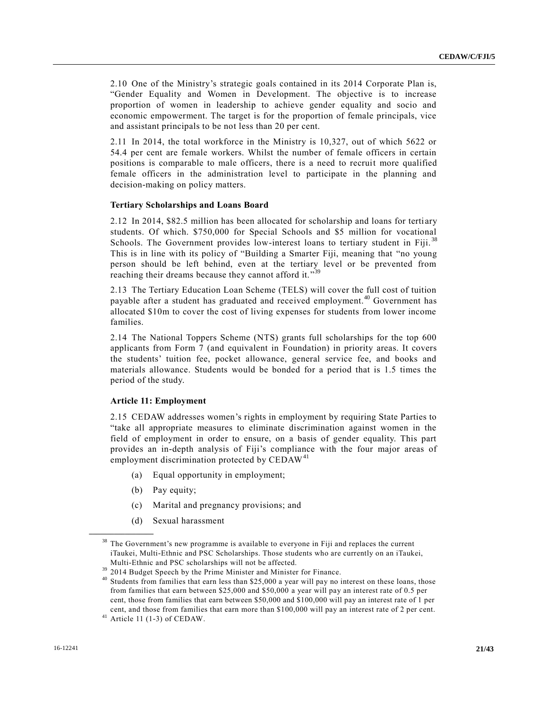2.10 One of the Ministry's strategic goals contained in its 2014 Corporate Plan is, "Gender Equality and Women in Development. The objective is to increase proportion of women in leadership to achieve gender equality and socio and economic empowerment. The target is for the proportion of female principals, vice and assistant principals to be not less than 20 per cent.

2.11 In 2014, the total workforce in the Ministry is 10,327, out of which 5622 or 54.4 per cent are female workers. Whilst the number of female officers in certain positions is comparable to male officers, there is a need to recruit more qualified female officers in the administration level to participate in the planning and decision-making on policy matters.

#### **Tertiary Scholarships and Loans Board**

2.12 In 2014, \$82.5 million has been allocated for scholarship and loans for terti ary students. Of which. \$750,000 for Special Schools and \$5 million for vocational Schools. The Government provides low-interest loans to tertiary student in Fiji.<sup>38</sup> This is in line with its policy of "Building a Smarter Fiji, meaning that "no young person should be left behind, even at the tertiary level or be prevented from reaching their dreams because they cannot afford it."<sup>39</sup>

2.13 The Tertiary Education Loan Scheme (TELS) will cover the full cost of tuition payable after a student has graduated and received employment.<sup>40</sup> Government has allocated \$10m to cover the cost of living expenses for students from lower income families.

2.14 The National Toppers Scheme (NTS) grants full scholarships for the top 600 applicants from Form 7 (and equivalent in Foundation) in priority areas. It covers the students' tuition fee, pocket allowance, general service fee, and books and materials allowance. Students would be bonded for a period that is 1.5 times the period of the study.

#### **Article 11: Employment**

2.15 CEDAW addresses women's rights in employment by requiring State Parties to "take all appropriate measures to eliminate discrimination against women in the field of employment in order to ensure, on a basis of gender equality. This part provides an in-depth analysis of Fiji's compliance with the four major areas of employment discrimination protected by CEDAW<sup>41</sup>

- (a) Equal opportunity in employment;
- (b) Pay equity;

- (c) Marital and pregnancy provisions; and
- (d) Sexual harassment

<sup>&</sup>lt;sup>38</sup> The Government's new programme is available to everyone in Fiji and replaces the current iTaukei, Multi-Ethnic and PSC Scholarships. Those students who are currently on an iTaukei, Multi-Ethnic and PSC scholarships will not be affected.

<sup>&</sup>lt;sup>39</sup> 2014 Budget Speech by the Prime Minister and Minister for Finance.

<sup>&</sup>lt;sup>40</sup> Students from families that earn less than \$25,000 a year will pay no interest on these loans, those from families that earn between \$25,000 and \$50,000 a year will pay an interest rate of 0.5 per cent, those from families that earn between \$50,000 and \$100,000 will pay an interest rate of 1 per cent, and those from families that earn more than \$100,000 will pay an interest rate of 2 per cent.

 $41$  Article 11 (1-3) of CEDAW.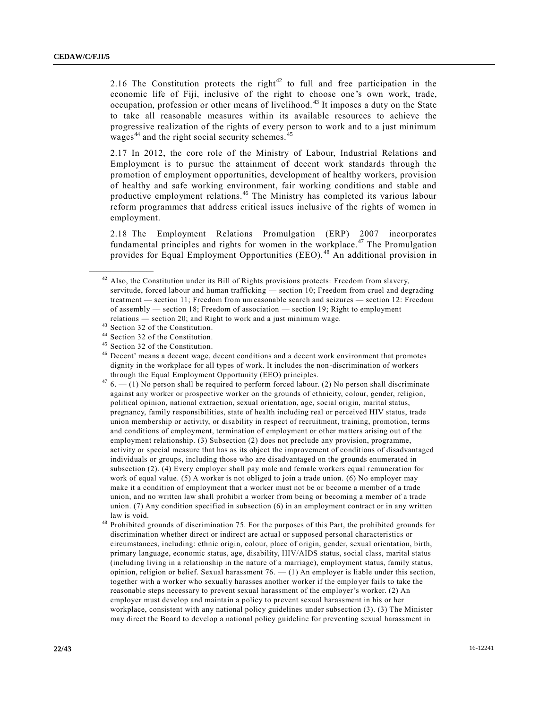2.16 The Constitution protects the right<sup>42</sup> to full and free participation in the economic life of Fiji, inclusive of the right to choose one's own work, trade, occupation, profession or other means of livelihood. <sup>43</sup> It imposes a duty on the State to take all reasonable measures within its available resources to achieve the progressive realization of the rights of every person to work and to a just minimum wages $44$  and the right social security schemes.  $45$ 

2.17 In 2012, the core role of the Ministry of Labour, Industrial Relations and Employment is to pursue the attainment of decent work standards through the promotion of employment opportunities, development of healthy workers, provision of healthy and safe working environment, fair working conditions and stable and productive employment relations.<sup>46</sup> The Ministry has completed its various labour reform programmes that address critical issues inclusive of the rights of women in employment.

2.18 The Employment Relations Promulgation (ERP) 2007 incorporates fundamental principles and rights for women in the workplace.<sup>47</sup> The Promulgation provides for Equal Employment Opportunities (EEO). <sup>48</sup> An additional provision in

 $^{42}$  Also, the Constitution under its Bill of Rights provisions protects: Freedom from slavery, servitude, forced labour and human trafficking — section 10; Freedom from cruel and degrading treatment — section 11; Freedom from unreasonable search and seizures — section 12: Freedom of assembly — section 18; Freedom of association — section 19; Right to employment relations — section 20; and Right to work and a just minimum wage.

 $^{43}$  Section 32 of the Constitution.

Section 32 of the Constitution.

<sup>45</sup> Section 32 of the Constitution.

<sup>&</sup>lt;sup>46</sup> Decent' means a decent wage, decent conditions and a decent work environment that promotes dignity in the workplace for all types of work. It includes the non-discrimination of workers through the Equal Employment Opportunity (EEO) principles.

 $476 - (1)$  No person shall be required to perform forced labour. (2) No person shall discriminate against any worker or prospective worker on the grounds of ethnicity, colour, gender, religion, political opinion, national extraction, sexual orientation, age, social origin, marital status, pregnancy, family responsibilities, state of health including real or perceived HIV status, trade union membership or activity, or disability in respect of recruitment, training, promotion, terms and conditions of employment, termination of employment or other matters arising out of the employment relationship. (3) Subsection (2) does not preclude any provision, programme, activity or special measure that has as its object the improvement of conditions of disadvantaged individuals or groups, including those who are disadvantaged on the grounds enumerated in subsection (2). (4) Every employer shall pay male and female workers equal remuneration for work of equal value. (5) A worker is not obliged to join a trade union. (6) No employer may make it a condition of employment that a worker must not be or become a member of a trade union, and no written law shall prohibit a worker from being or becoming a member of a trade union. (7) Any condition specified in subsection (6) in an employment contract or in any written law is void.

<sup>48</sup> Prohibited grounds of discrimination 75. For the purposes of this Part, the prohibited grounds for discrimination whether direct or indirect are actual or supposed personal characteristics or circumstances, including: ethnic origin, colour, place of origin, gender, sexual orientation, birth, primary language, economic status, age, disability, HIV/AIDS status, social class, marital status (including living in a relationship in the nature of a marriage), employment status, family status, opinion, religion or belief. Sexual harassment 76. — (1) An employer is liable under this section, together with a worker who sexually harasses another worker if the employer fails to take the reasonable steps necessary to prevent sexual harassment of the employer's worker. (2) An employer must develop and maintain a policy to prevent sexual harassment in his or her workplace, consistent with any national policy guidelines under subsection (3). (3) The Minister may direct the Board to develop a national policy guideline for preventing sexual harassment in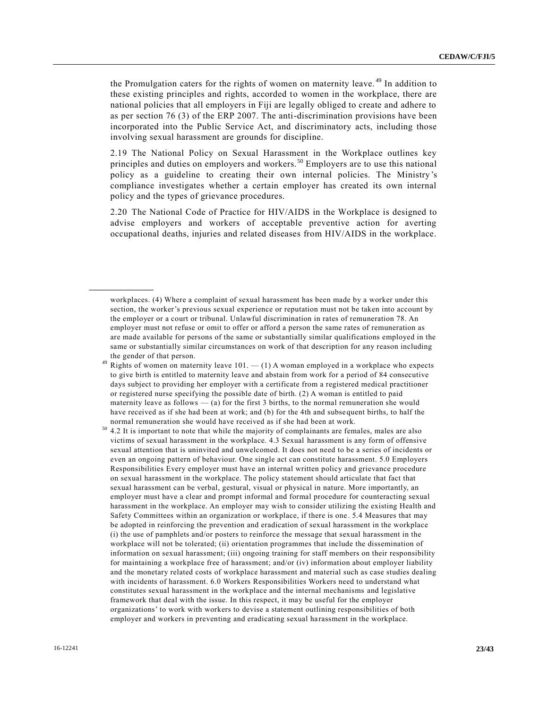the Promulgation caters for the rights of women on maternity leave. <sup>49</sup> In addition to these existing principles and rights, accorded to women in the workplace, there are national policies that all employers in Fiji are legally obliged to create and adhere to as per section 76 (3) of the ERP 2007. The anti-discrimination provisions have been incorporated into the Public Service Act, and discriminatory acts, including those involving sexual harassment are grounds for discipline.

2.19 The National Policy on Sexual Harassment in the Workplace outlines key principles and duties on employers and workers. <sup>50</sup> Employers are to use this national policy as a guideline to creating their own internal policies. The Ministry's compliance investigates whether a certain employer has created its own internal policy and the types of grievance procedures.

2.20 The National Code of Practice for HIV/AIDS in the Workplace is designed to advise employers and workers of acceptable preventive action for averting occupational deaths, injuries and related diseases from HIV/AIDS in the workplace.

workplaces. (4) Where a complaint of sexual harassment has been made by a worker under this section, the worker's previous sexual experience or reputation must not be taken into account by the employer or a court or tribunal. Unlawful discrimination in rates of remuneration 78. An employer must not refuse or omit to offer or afford a person the same rates of remuneration as are made available for persons of the same or substantially similar qualifications employed in the same or substantially similar circumstances on work of that description for any reason including the gender of that person.

Rights of women on maternity leave  $101. - (1)$  A woman employed in a workplace who expects to give birth is entitled to maternity leave and abstain from work for a period of 84 consecutive days subject to providing her employer with a certificate from a registered medical practitioner or registered nurse specifying the possible date of birth. (2) A woman is entitled to paid maternity leave as follows  $-$  (a) for the first 3 births, to the normal remuneration she would have received as if she had been at work; and (b) for the 4th and subsequent births, to half the normal remuneration she would have received as if she had been at work.

<sup>50</sup> 4.2 It is important to note that while the majority of complainants are females, males are also victims of sexual harassment in the workplace. 4.3 Sexual harassment is any form of offensive sexual attention that is uninvited and unwelcomed. It does not need to be a series of incidents or even an ongoing pattern of behaviour. One single act can constitute harassment. 5.0 Employers Responsibilities Every employer must have an internal written policy and grievance procedure on sexual harassment in the workplace. The policy statement should articulate that fact that sexual harassment can be verbal, gestural, visual or physical in nature. More importantly, an employer must have a clear and prompt informal and formal procedure for counteracting sexual harassment in the workplace. An employer may wish to consider utilizing the existing Health and Safety Committees within an organization or workplace, if there is one. 5.4 Measures that may be adopted in reinforcing the prevention and eradication of sexual harassment in the workplace (i) the use of pamphlets and/or posters to reinforce the message that sexual harassment in the workplace will not be tolerated; (ii) orientation programmes that include the dissemination of information on sexual harassment; (iii) ongoing training for staff members on their responsibility for maintaining a workplace free of harassment; and/or (iv) information about employer liability and the monetary related costs of workplace harassment and material such as case studies dealing with incidents of harassment. 6.0 Workers Responsibilities Workers need to understand what constitutes sexual harassment in the workplace and the internal mechanisms and legislative framework that deal with the issue. In this respect, it may be useful for the employer organizations' to work with workers to devise a statement outlining responsibilities of both employer and workers in preventing and eradicating sexual harassment in the workplace.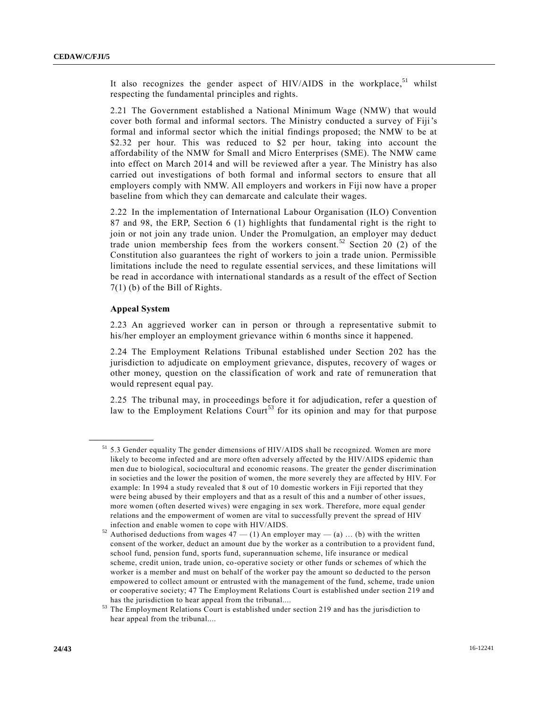It also recognizes the gender aspect of HIV/AIDS in the workplace,  $51$  whilst respecting the fundamental principles and rights.

2.21 The Government established a National Minimum Wage (NMW) that would cover both formal and informal sectors. The Ministry conducted a survey of Fiji's formal and informal sector which the initial findings proposed; the NMW to be at \$2.32 per hour. This was reduced to \$2 per hour, taking into account the affordability of the NMW for Small and Micro Enterprises (SME). The NMW came into effect on March 2014 and will be reviewed after a year. The Ministry has also carried out investigations of both formal and informal sectors to ensure that all employers comply with NMW. All employers and workers in Fiji now have a proper baseline from which they can demarcate and calculate their wages.

2.22 In the implementation of International Labour Organisation (ILO) Convention 87 and 98, the ERP, Section 6 (1) highlights that fundamental right is the right to join or not join any trade union. Under the Promulgation, an employer may deduct trade union membership fees from the workers consent.<sup>52</sup> Section 20 (2) of the Constitution also guarantees the right of workers to join a trade union. Permissible limitations include the need to regulate essential services, and these limitations will be read in accordance with international standards as a result of the effect of Section 7(1) (b) of the Bill of Rights.

#### **Appeal System**

**\_\_\_\_\_\_\_\_\_\_\_\_\_\_\_\_\_\_**

2.23 An aggrieved worker can in person or through a representative submit to his/her employer an employment grievance within 6 months since it happened.

2.24 The Employment Relations Tribunal established under Section 202 has the jurisdiction to adjudicate on employment grievance, disputes, recovery of wages or other money, question on the classification of work and rate of remuneration that would represent equal pay.

2.25 The tribunal may, in proceedings before it for adjudication, refer a question of law to the Employment Relations Court<sup>53</sup> for its opinion and may for that purpose

 $51$  5.3 Gender equality The gender dimensions of HIV/AIDS shall be recognized. Women are more likely to become infected and are more often adversely affected by the HIV/AIDS epidemic than men due to biological, sociocultural and economic reasons. The greater the gender discrimination in societies and the lower the position of women, the more severely they are affected by HIV. For example: In 1994 a study revealed that 8 out of 10 domestic workers in Fiji reported that they were being abused by their employers and that as a result of this and a number of other issues, more women (often deserted wives) were engaging in sex work. Therefore, more equal gender relations and the empowerment of women are vital to successfully prevent the spread of HIV infection and enable women to cope with HIV/AIDS.

 $52$  Authorised deductions from wages  $47 - (1)$  An employer may  $-$  (a) ... (b) with the written consent of the worker, deduct an amount due by the worker as a contribution to a provident fund, school fund, pension fund, sports fund, superannuation scheme, life insurance or medical scheme, credit union, trade union, co-operative society or other funds or schemes of which the worker is a member and must on behalf of the worker pay the amount so deducted to the person empowered to collect amount or entrusted with the management of the fund, scheme, trade union or cooperative society; 47 The Employment Relations Court is established under section 219 and has the jurisdiction to hear appeal from the tribunal....

The Employment Relations Court is established under section 219 and has the jurisdiction to hear appeal from the tribunal....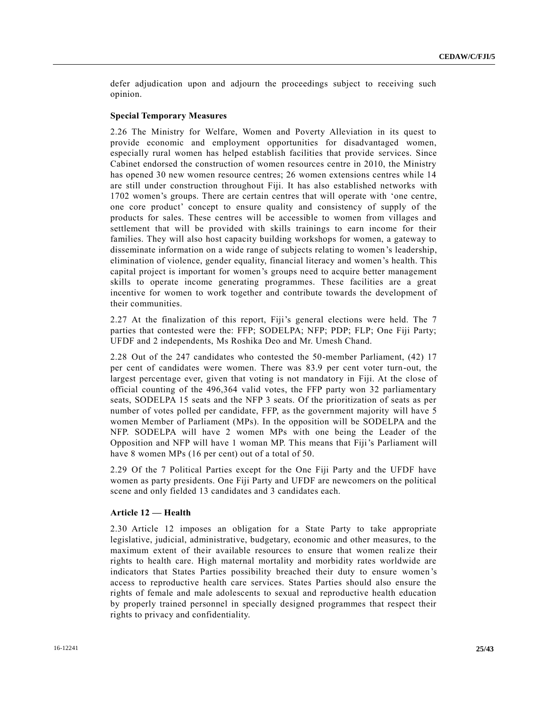defer adjudication upon and adjourn the proceedings subject to receiving such opinion.

#### **Special Temporary Measures**

2.26 The Ministry for Welfare, Women and Poverty Alleviation in its quest to provide economic and employment opportunities for disadvantaged women, especially rural women has helped establish facilities that provide services. Since Cabinet endorsed the construction of women resources centre in 2010, the Ministry has opened 30 new women resource centres; 26 women extensions centres while 14 are still under construction throughout Fiji. It has also established networks with 1702 women's groups. There are certain centres that will operate with 'one centre, one core product' concept to ensure quality and consistency of supply of the products for sales. These centres will be accessible to women from villages and settlement that will be provided with skills trainings to earn income for their families. They will also host capacity building workshops for women, a gateway to disseminate information on a wide range of subjects relating to women's leadership, elimination of violence, gender equality, financial literacy and women's health. This capital project is important for women's groups need to acquire better management skills to operate income generating programmes. These facilities are a great incentive for women to work together and contribute towards the development of their communities.

2.27 At the finalization of this report, Fiji's general elections were held. The 7 parties that contested were the: FFP; SODELPA; NFP; PDP; FLP; One Fiji Party; UFDF and 2 independents, Ms Roshika Deo and Mr. Umesh Chand.

2.28 Out of the 247 candidates who contested the 50-member Parliament, (42) 17 per cent of candidates were women. There was 83.9 per cent voter turn-out, the largest percentage ever, given that voting is not mandatory in Fiji. At the close of official counting of the 496,364 valid votes, the FFP party won 32 parliamentary seats, SODELPA 15 seats and the NFP 3 seats. Of the prioritization of seats as per number of votes polled per candidate, FFP, as the government majority will have 5 women Member of Parliament (MPs). In the opposition will be SODELPA and the NFP. SODELPA will have 2 women MPs with one being the Leader of the Opposition and NFP will have 1 woman MP. This means that Fiji's Parliament will have 8 women MPs (16 per cent) out of a total of 50.

2.29 Of the 7 Political Parties except for the One Fiji Party and the UFDF have women as party presidents. One Fiji Party and UFDF are newcomers on the political scene and only fielded 13 candidates and 3 candidates each.

#### **Article 12 — Health**

2.30 Article 12 imposes an obligation for a State Party to take appropriate legislative, judicial, administrative, budgetary, economic and other measures, to the maximum extent of their available resources to ensure that women realize their rights to health care. High maternal mortality and morbidity rates worldwide are indicators that States Parties possibility breached their duty to ensure women's access to reproductive health care services. States Parties should also ensure the rights of female and male adolescents to sexual and reproductive health education by properly trained personnel in specially designed programmes that respect their rights to privacy and confidentiality.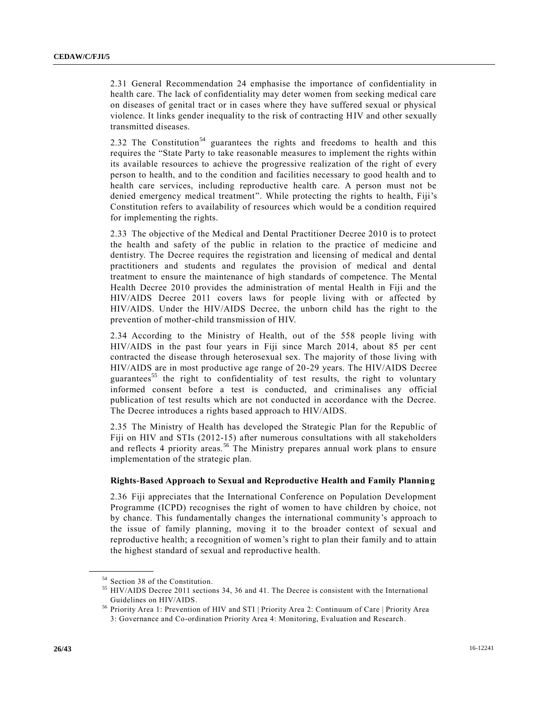2.31 General Recommendation 24 emphasise the importance of confidentiality in health care. The lack of confidentiality may deter women from seeking medical care on diseases of genital tract or in cases where they have suffered sexual or physical violence. It links gender inequality to the risk of contracting HIV and other sexually transmitted diseases.

2.32 The Constitution<sup>54</sup> guarantees the rights and freedoms to health and this requires the "State Party to take reasonable measures to implement the rights within its available resources to achieve the progressive realization of the right of every person to health, and to the condition and facilities necessary to good health and to health care services, including reproductive health care. A person must not be denied emergency medical treatment". While protecting the rights to health, Fiji's Constitution refers to availability of resources which would be a condition required for implementing the rights.

2.33 The objective of the Medical and Dental Practitioner Decree 2010 is to protect the health and safety of the public in relation to the practice of medicine and dentistry. The Decree requires the registration and licensing of medical and dental practitioners and students and regulates the provision of medical and dental treatment to ensure the maintenance of high standards of competence. The Mental Health Decree 2010 provides the administration of mental Health in Fiji and the HIV/AIDS Decree 2011 covers laws for people living with or affected by HIV/AIDS. Under the HIV/AIDS Decree, the unborn child has the right to the prevention of mother-child transmission of HIV.

2.34 According to the Ministry of Health, out of the 558 people living with HIV/AIDS in the past four years in Fiji since March 2014, about 85 per cent contracted the disease through heterosexual sex. The majority of those living with HIV/AIDS are in most productive age range of 20-29 years. The HIV/AIDS Decree guarantees<sup>55</sup> the right to confidentiality of test results, the right to voluntary informed consent before a test is conducted, and criminalises any official publication of test results which are not conducted in accordance with the Decree. The Decree introduces a rights based approach to HIV/AIDS.

2.35 The Ministry of Health has developed the Strategic Plan for the Republic of Fiji on HIV and STIs (2012-15) after numerous consultations with all stakeholders and reflects 4 priority areas.<sup>56</sup> The Ministry prepares annual work plans to ensure implementation of the strategic plan.

#### **Rights-Based Approach to Sexual and Reproductive Health and Family Planning**

2.36 Fiji appreciates that the International Conference on Population Development Programme (ICPD) recognises the right of women to have children by choice, not by chance. This fundamentally changes the international community's approach to the issue of family planning, moving it to the broader context of sexual and reproductive health; a recognition of women's right to plan their family and to attain the highest standard of sexual and reproductive health.

<sup>54</sup> Section 38 of the Constitution.

<sup>&</sup>lt;sup>55</sup> HIV/AIDS Decree 2011 sections 34, 36 and 41. The Decree is consistent with the International Guidelines on HIV/AIDS.

<sup>56</sup> Priority Area 1: Prevention of HIV and STI | Priority Area 2: Continuum of Care | Priority Area 3: Governance and Co-ordination Priority Area 4: Monitoring, Evaluation and Research.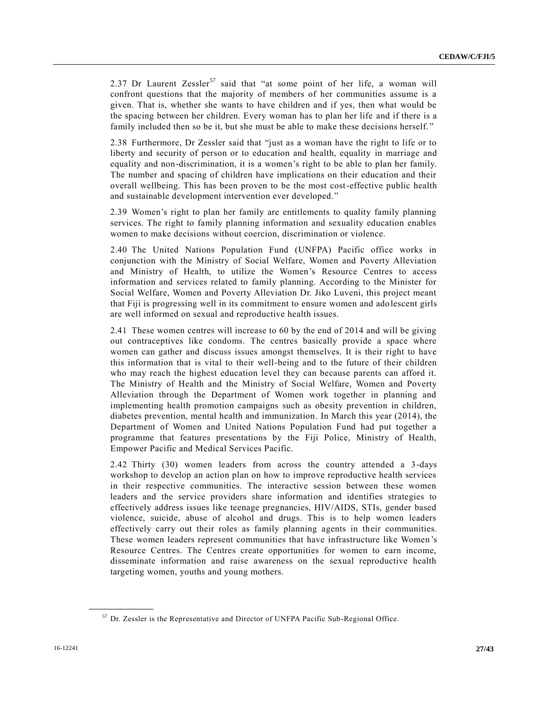2.37 Dr Laurent Zessler<sup>57</sup> said that "at some point of her life, a woman will confront questions that the majority of members of her communities assume is a given. That is, whether she wants to have children and if yes, then what would be the spacing between her children. Every woman has to plan her life and if there is a family included then so be it, but she must be able to make these decisions herself. "

2.38 Furthermore, Dr Zessler said that "just as a woman have the right to life or to liberty and security of person or to education and health, equality in marriage and equality and non-discrimination, it is a women's right to be able to plan her family. The number and spacing of children have implications on their education and their overall wellbeing. This has been proven to be the most cost-effective public health and sustainable development intervention ever developed."

2.39 Women's right to plan her family are entitlements to quality family planning services. The right to family planning information and sexuality education enables women to make decisions without coercion, discrimination or violence.

2.40 The United Nations Population Fund (UNFPA) Pacific office works in conjunction with the Ministry of Social Welfare, Women and Poverty Alleviation and Ministry of Health, to utilize the Women's Resource Centres to access information and services related to family planning. According to the Minister for Social Welfare, Women and Poverty Alleviation Dr. Jiko Luveni, this project meant that Fiji is progressing well in its commitment to ensure women and ado lescent girls are well informed on sexual and reproductive health issues.

2.41 These women centres will increase to 60 by the end of 2014 and will be giving out contraceptives like condoms. The centres basically provide a space where women can gather and discuss issues amongst themselves. It is their right to have this information that is vital to their well-being and to the future of their children who may reach the highest education level they can because parents can afford it. The Ministry of Health and the Ministry of Social Welfare, Women and Poverty Alleviation through the Department of Women work together in planning and implementing health promotion campaigns such as obesity prevention in children, diabetes prevention, mental health and immunization. In March this year (2014), the Department of Women and United Nations Population Fund had put together a programme that features presentations by the Fiji Police, Ministry of Health, Empower Pacific and Medical Services Pacific.

2.42 Thirty (30) women leaders from across the country attended a 3-days workshop to develop an action plan on how to improve reproductive health services in their respective communities. The interactive session between these women leaders and the service providers share information and identifies strategies to effectively address issues like teenage pregnancies, HIV/AIDS, STIs, gender based violence, suicide, abuse of alcohol and drugs. This is to help women leaders effectively carry out their roles as family planning agents in their communities. These women leaders represent communities that have infrastructure like Women's Resource Centres. The Centres create opportunities for women to earn income, disseminate information and raise awareness on the sexual reproductive health targeting women, youths and young mothers.

<sup>&</sup>lt;sup>57</sup> Dr. Zessler is the Representative and Director of UNFPA Pacific Sub-Regional Office.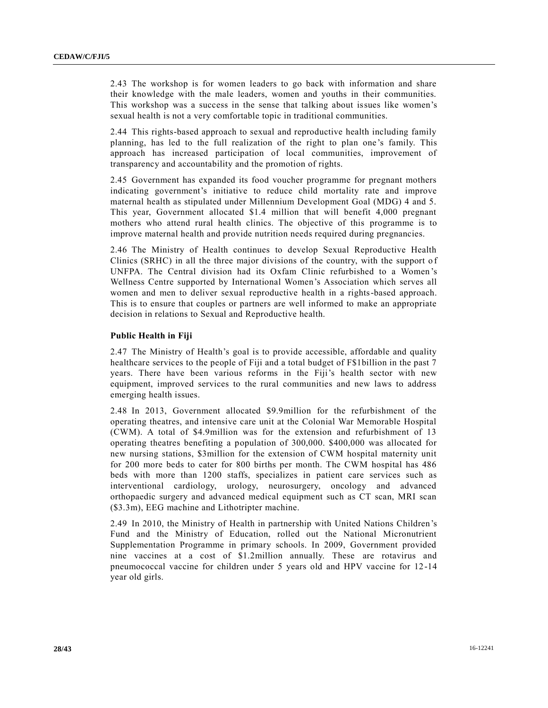2.43 The workshop is for women leaders to go back with information and share their knowledge with the male leaders, women and youths in their communities. This workshop was a success in the sense that talking about issues like women's sexual health is not a very comfortable topic in traditional communities.

2.44 This rights-based approach to sexual and reproductive health including family planning, has led to the full realization of the right to plan one 's family. This approach has increased participation of local communities, improvement of transparency and accountability and the promotion of rights.

2.45 Government has expanded its food voucher programme for pregnant mothers indicating government's initiative to reduce child mortality rate and improve maternal health as stipulated under Millennium Development Goal (MDG) 4 and 5. This year, Government allocated \$1.4 million that will benefit 4,000 pregnant mothers who attend rural health clinics. The objective of this programme is to improve maternal health and provide nutrition needs required during pregnancies.

2.46 The Ministry of Health continues to develop Sexual Reproductive Health Clinics (SRHC) in all the three major divisions of the country, with the support o f UNFPA. The Central division had its Oxfam Clinic refurbished to a Women 's Wellness Centre supported by International Women's Association which serves all women and men to deliver sexual reproductive health in a rights-based approach. This is to ensure that couples or partners are well informed to make an appropriate decision in relations to Sexual and Reproductive health.

#### **Public Health in Fiji**

2.47 The Ministry of Health's goal is to provide accessible, affordable and quality healthcare services to the people of Fiji and a total budget of F\$1billion in the past 7 years. There have been various reforms in the Fiji's health sector with new equipment, improved services to the rural communities and new laws to address emerging health issues.

2.48 In 2013, Government allocated \$9.9million for the refurbishment of the operating theatres, and intensive care unit at the Colonial War Memorable Hospital (CWM). A total of \$4.9million was for the extension and refurbishment of 13 operating theatres benefiting a population of 300,000. \$400,000 was allocated for new nursing stations, \$3million for the extension of CWM hospital maternity unit for 200 more beds to cater for 800 births per month. The CWM hospital has 486 beds with more than 1200 staffs, specializes in patient care services such as interventional cardiology, urology, neurosurgery, oncology and advanced orthopaedic surgery and advanced medical equipment such as CT scan, MRI scan (\$3.3m), EEG machine and Lithotripter machine.

2.49 In 2010, the Ministry of Health in partnership with United Nations Children's Fund and the Ministry of Education, rolled out the National Micronutrient Supplementation Programme in primary schools. In 2009, Government provided nine vaccines at a cost of \$1.2million annually. These are rotavirus and pneumococcal vaccine for children under 5 years old and HPV vaccine for 12 -14 year old girls.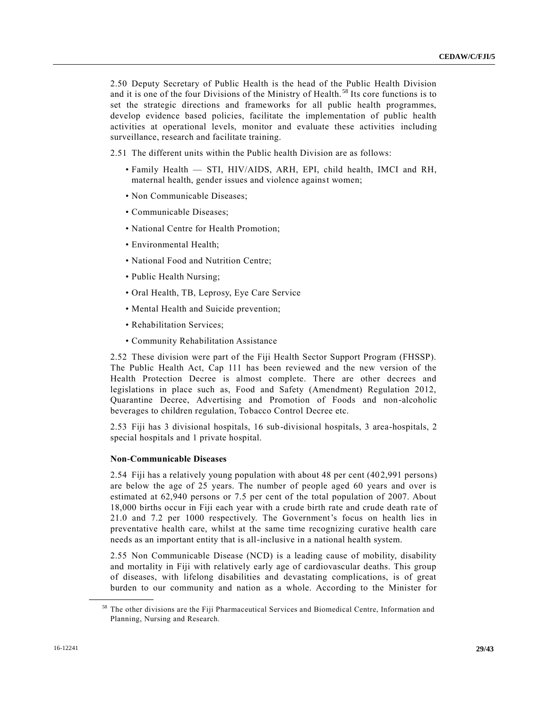2.50 Deputy Secretary of Public Health is the head of the Public Health Division and it is one of the four Divisions of the Ministry of Health.<sup>58</sup> Its core functions is to set the strategic directions and frameworks for all public health programmes, develop evidence based policies, facilitate the implementation of public health activities at operational levels, monitor and evaluate these activities including surveillance, research and facilitate training.

2.51 The different units within the Public health Division are as follows:

- Family Health STI, HIV/AIDS, ARH, EPI, child health, IMCI and RH, maternal health, gender issues and violence against women;
- Non Communicable Diseases;
- Communicable Diseases;
- National Centre for Health Promotion;
- Environmental Health;
- National Food and Nutrition Centre;
- Public Health Nursing;
- Oral Health, TB, Leprosy, Eye Care Service
- Mental Health and Suicide prevention;
- Rehabilitation Services;
- Community Rehabilitation Assistance

2.52 These division were part of the Fiji Health Sector Support Program (FHSSP). The Public Health Act, Cap 111 has been reviewed and the new version of the Health Protection Decree is almost complete. There are other decrees and legislations in place such as, Food and Safety (Amendment) Regulation 2012, Quarantine Decree, Advertising and Promotion of Foods and non-alcoholic beverages to children regulation, Tobacco Control Decree etc.

2.53 Fiji has 3 divisional hospitals, 16 sub-divisional hospitals, 3 area-hospitals, 2 special hospitals and 1 private hospital.

#### **Non-Communicable Diseases**

2.54 Fiji has a relatively young population with about 48 per cent (402,991 persons) are below the age of 25 years. The number of people aged 60 years and over is estimated at 62,940 persons or 7.5 per cent of the total population of 2007. About 18,000 births occur in Fiji each year with a crude birth rate and crude death rate of 21.0 and 7.2 per 1000 respectively. The Government's focus on health lies in preventative health care, whilst at the same time recognizing curative health care needs as an important entity that is all-inclusive in a national health system.

2.55 Non Communicable Disease (NCD) is a leading cause of mobility, disability and mortality in Fiji with relatively early age of cardiovascular deaths. This group of diseases, with lifelong disabilities and devastating complications, is of great burden to our community and nation as a whole. According to the Minister for

<sup>58</sup> The other divisions are the Fiji Pharmaceutical Services and Biomedical Centre, Information and Planning, Nursing and Research.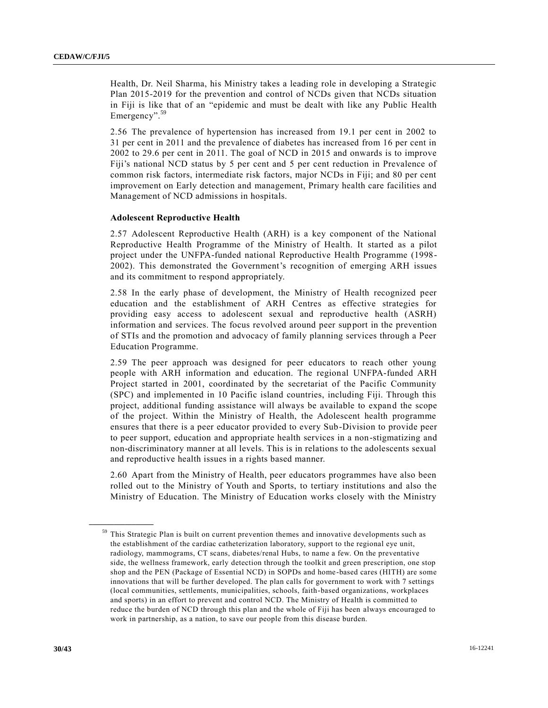Health, Dr. Neil Sharma, his Ministry takes a leading role in developing a Strategic Plan 2015-2019 for the prevention and control of NCDs given that NCDs situation in Fiji is like that of an "epidemic and must be dealt with like any Public Health Emergency". 59

2.56 The prevalence of hypertension has increased from 19.1 per cent in 2002 to 31 per cent in 2011 and the prevalence of diabetes has increased from 16 per cent in 2002 to 29.6 per cent in 2011. The goal of NCD in 2015 and onwards is to improve Fiji's national NCD status by 5 per cent and 5 per cent reduction in Prevalence of common risk factors, intermediate risk factors, major NCDs in Fiji; and 80 per cent improvement on Early detection and management, Primary health care facilities and Management of NCD admissions in hospitals.

## **Adolescent Reproductive Health**

2.57 Adolescent Reproductive Health (ARH) is a key component of the National Reproductive Health Programme of the Ministry of Health. It started as a pilot project under the UNFPA-funded national Reproductive Health Programme (1998- 2002). This demonstrated the Government's recognition of emerging ARH issues and its commitment to respond appropriately.

2.58 In the early phase of development, the Ministry of Health recognized peer education and the establishment of ARH Centres as effective strategies for providing easy access to adolescent sexual and reproductive health (ASRH) information and services. The focus revolved around peer support in the prevention of STIs and the promotion and advocacy of family planning services through a Peer Education Programme.

2.59 The peer approach was designed for peer educators to reach other young people with ARH information and education. The regional UNFPA-funded ARH Project started in 2001, coordinated by the secretariat of the Pacific Community (SPC) and implemented in 10 Pacific island countries, including Fiji. Through this project, additional funding assistance will always be available to expand the scope of the project. Within the Ministry of Health, the Adolescent health programme ensures that there is a peer educator provided to every Sub-Division to provide peer to peer support, education and appropriate health services in a non-stigmatizing and non-discriminatory manner at all levels. This is in relations to the adolescents sexual and reproductive health issues in a rights based manner.

2.60 Apart from the Ministry of Health, peer educators programmes have also been rolled out to the Ministry of Youth and Sports, to tertiary institutions and also the Ministry of Education. The Ministry of Education works closely with the Ministry

<sup>&</sup>lt;sup>59</sup> This Strategic Plan is built on current prevention themes and innovative developments such as the establishment of the cardiac catheterization laboratory, support to the regional eye unit, radiology, mammograms, CT scans, diabetes/renal Hubs, to name a few. On the preventative side, the wellness framework, early detection through the toolkit and green prescription, one stop shop and the PEN (Package of Essential NCD) in SOPDs and home-based cares (HITH) are some innovations that will be further developed. The plan calls for government to work with 7 settings (local communities, settlements, municipalities, schools, faith-based organizations, workplaces and sports) in an effort to prevent and control NCD. The Ministry of Health is committed to reduce the burden of NCD through this plan and the whole of Fiji has been always encouraged to work in partnership, as a nation, to save our people from this disease burden.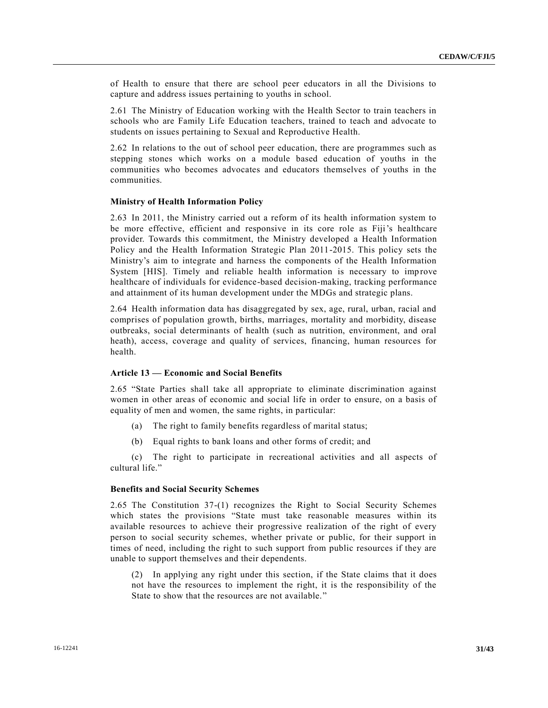of Health to ensure that there are school peer educators in all the Divisions to capture and address issues pertaining to youths in school.

2.61 The Ministry of Education working with the Health Sector to train teachers in schools who are Family Life Education teachers, trained to teach and advocate to students on issues pertaining to Sexual and Reproductive Health.

2.62 In relations to the out of school peer education, there are programmes such as stepping stones which works on a module based education of youths in the communities who becomes advocates and educators themselves of youths in the communities.

#### **Ministry of Health Information Policy**

2.63 In 2011, the Ministry carried out a reform of its health information system to be more effective, efficient and responsive in its core role as Fiji's healthcare provider. Towards this commitment, the Ministry developed a Health Information Policy and the Health Information Strategic Plan 2011-2015. This policy sets the Ministry's aim to integrate and harness the components of the Health Information System [HIS]. Timely and reliable health information is necessary to improve healthcare of individuals for evidence-based decision-making, tracking performance and attainment of its human development under the MDGs and strategic plans.

2.64 Health information data has disaggregated by sex, age, rural, urban, racial and comprises of population growth, births, marriages, mortality and morbidity, disease outbreaks, social determinants of health (such as nutrition, environment, and oral heath), access, coverage and quality of services, financing, human resources for health.

#### **Article 13 — Economic and Social Benefits**

2.65 "State Parties shall take all appropriate to eliminate discrimination against women in other areas of economic and social life in order to ensure, on a basis of equality of men and women, the same rights, in particular:

- (a) The right to family benefits regardless of marital status;
- (b) Equal rights to bank loans and other forms of credit; and

(c) The right to participate in recreational activities and all aspects of cultural life."

#### **Benefits and Social Security Schemes**

2.65 The Constitution 37-(1) recognizes the Right to Social Security Schemes which states the provisions "State must take reasonable measures within its available resources to achieve their progressive realization of the right of every person to social security schemes, whether private or public, for their support in times of need, including the right to such support from public resources if they are unable to support themselves and their dependents.

(2) In applying any right under this section, if the State claims that it does not have the resources to implement the right, it is the responsibility of the State to show that the resources are not available."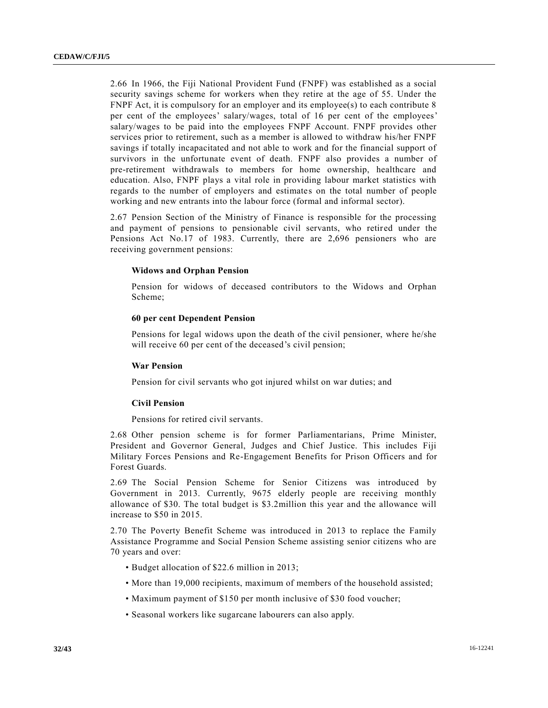2.66 In 1966, the Fiji National Provident Fund (FNPF) was established as a social security savings scheme for workers when they retire at the age of 55. Under the FNPF Act, it is compulsory for an employer and its employee(s) to each contribute 8 per cent of the employees' salary/wages, total of 16 per cent of the employees' salary/wages to be paid into the employees FNPF Account. FNPF provides other services prior to retirement, such as a member is allowed to withdraw his/her FNPF savings if totally incapacitated and not able to work and for the financial support of survivors in the unfortunate event of death. FNPF also provides a number of pre-retirement withdrawals to members for home ownership, healthcare and education. Also, FNPF plays a vital role in providing labour market statistics with regards to the number of employers and estimates on the total number of people working and new entrants into the labour force (formal and informal sector).

2.67 Pension Section of the Ministry of Finance is responsible for the processing and payment of pensions to pensionable civil servants, who retired under the Pensions Act No.17 of 1983. Currently, there are 2,696 pensioners who are receiving government pensions:

#### **Widows and Orphan Pension**

Pension for widows of deceased contributors to the Widows and Orphan Scheme;

#### **60 per cent Dependent Pension**

Pensions for legal widows upon the death of the civil pensioner, where he/she will receive 60 per cent of the deceased's civil pension;

#### **War Pension**

Pension for civil servants who got injured whilst on war duties; and

#### **Civil Pension**

Pensions for retired civil servants.

2.68 Other pension scheme is for former Parliamentarians, Prime Minister, President and Governor General, Judges and Chief Justice. This includes Fiji Military Forces Pensions and Re-Engagement Benefits for Prison Officers and for Forest Guards.

2.69 The Social Pension Scheme for Senior Citizens was introduced by Government in 2013. Currently, 9675 elderly people are receiving monthly allowance of \$30. The total budget is \$3.2million this year and the allowance will increase to \$50 in 2015.

2.70 The Poverty Benefit Scheme was introduced in 2013 to replace the Family Assistance Programme and Social Pension Scheme assisting senior citizens who are 70 years and over:

- Budget allocation of \$22.6 million in 2013;
- More than 19,000 recipients, maximum of members of the household assisted;
- Maximum payment of \$150 per month inclusive of \$30 food voucher;
- Seasonal workers like sugarcane labourers can also apply.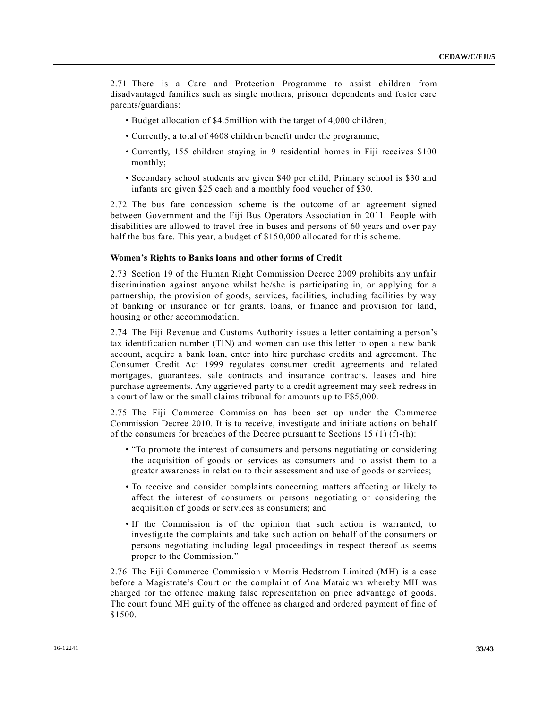2.71 There is a Care and Protection Programme to assist children from disadvantaged families such as single mothers, prisoner dependents and foster care parents/guardians:

- Budget allocation of \$4.5million with the target of 4,000 children;
- Currently, a total of 4608 children benefit under the programme;
- Currently, 155 children staying in 9 residential homes in Fiji receives \$100 monthly;
- Secondary school students are given \$40 per child, Primary school is \$30 and infants are given \$25 each and a monthly food voucher of \$30.

2.72 The bus fare concession scheme is the outcome of an agreement signed between Government and the Fiji Bus Operators Association in 2011. People with disabilities are allowed to travel free in buses and persons of 60 years and over pay half the bus fare. This year, a budget of \$150,000 allocated for this scheme.

#### **Women's Rights to Banks loans and other forms of Credit**

2.73 Section 19 of the Human Right Commission Decree 2009 prohibits any unfair discrimination against anyone whilst he/she is participating in, or applying for a partnership, the provision of goods, services, facilities, including facilities by way of banking or insurance or for grants, loans, or finance and provision for land, housing or other accommodation.

2.74 The Fiji Revenue and Customs Authority issues a letter containing a person's tax identification number (TIN) and women can use this letter to open a new bank account, acquire a bank loan, enter into hire purchase credits and agreement. The Consumer Credit Act 1999 regulates consumer credit agreements and related mortgages, guarantees, sale contracts and insurance contracts, leases and hire purchase agreements. Any aggrieved party to a credit agreement may seek redress in a court of law or the small claims tribunal for amounts up to F\$5,000.

2.75 The Fiji Commerce Commission has been set up under the Commerce Commission Decree 2010. It is to receive, investigate and initiate actions on behalf of the consumers for breaches of the Decree pursuant to Sections 15 (1) (f)-(h):

- "To promote the interest of consumers and persons negotiating or considering the acquisition of goods or services as consumers and to assist them to a greater awareness in relation to their assessment and use of goods or services;
- To receive and consider complaints concerning matters affecting or likely to affect the interest of consumers or persons negotiating or considering the acquisition of goods or services as consumers; and
- If the Commission is of the opinion that such action is warranted, to investigate the complaints and take such action on behalf of the consumers or persons negotiating including legal proceedings in respect thereof as seems proper to the Commission."

2.76 The Fiji Commerce Commission v Morris Hedstrom Limited (MH) is a case before a Magistrate's Court on the complaint of Ana Mataiciwa whereby MH was charged for the offence making false representation on price advantage of goods. The court found MH guilty of the offence as charged and ordered payment of fine of \$1500.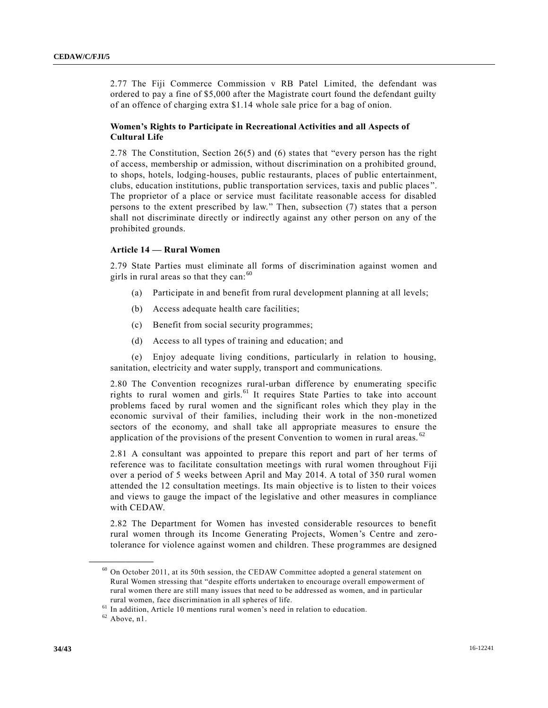2.77 The Fiji Commerce Commission v RB Patel Limited, the defendant was ordered to pay a fine of \$5,000 after the Magistrate court found the defendant guilty of an offence of charging extra \$1.14 whole sale price for a bag of onion.

## **Women's Rights to Participate in Recreational Activities and all Aspects of Cultural Life**

2.78 The Constitution, Section 26(5) and (6) states that "every person has the right of access, membership or admission, without discrimination on a prohibited ground, to shops, hotels, lodging-houses, public restaurants, places of public entertainment, clubs, education institutions, public transportation services, taxis and public places ". The proprietor of a place or service must facilitate reasonable access for disabled persons to the extent prescribed by law." Then, subsection (7) states that a person shall not discriminate directly or indirectly against any other person on any of the prohibited grounds.

#### **Article 14 — Rural Women**

2.79 State Parties must eliminate all forms of discrimination against women and girls in rural areas so that they can:  $60$ 

- (a) Participate in and benefit from rural development planning at all levels;
- (b) Access adequate health care facilities;
- (c) Benefit from social security programmes;
- (d) Access to all types of training and education; and

(e) Enjoy adequate living conditions, particularly in relation to housing, sanitation, electricity and water supply, transport and communications.

2.80 The Convention recognizes rural-urban difference by enumerating specific rights to rural women and girls.<sup>61</sup> It requires State Parties to take into account problems faced by rural women and the significant roles which they play in the economic survival of their families, including their work in the non-monetized sectors of the economy, and shall take all appropriate measures to ensure the application of the provisions of the present Convention to women in rural areas.  $62$ 

2.81 A consultant was appointed to prepare this report and part of her terms of reference was to facilitate consultation meetings with rural women throughout Fiji over a period of 5 weeks between April and May 2014. A total of 350 rural women attended the 12 consultation meetings. Its main objective is to listen to their voices and views to gauge the impact of the legislative and other measures in compliance with CEDAW.

2.82 The Department for Women has invested considerable resources to benefit rural women through its Income Generating Projects, Women's Centre and zerotolerance for violence against women and children. These programmes are designed

<sup>60</sup> On October 2011, at its 50th session, the CEDAW Committee adopted a general statement on Rural Women stressing that "despite efforts undertaken to encourage overall empowerment of rural women there are still many issues that need to be addressed as women, and in particular rural women, face discrimination in all spheres of life.

<sup>&</sup>lt;sup>61</sup> In addition, Article 10 mentions rural women's need in relation to education.

 $62$  Above, n1.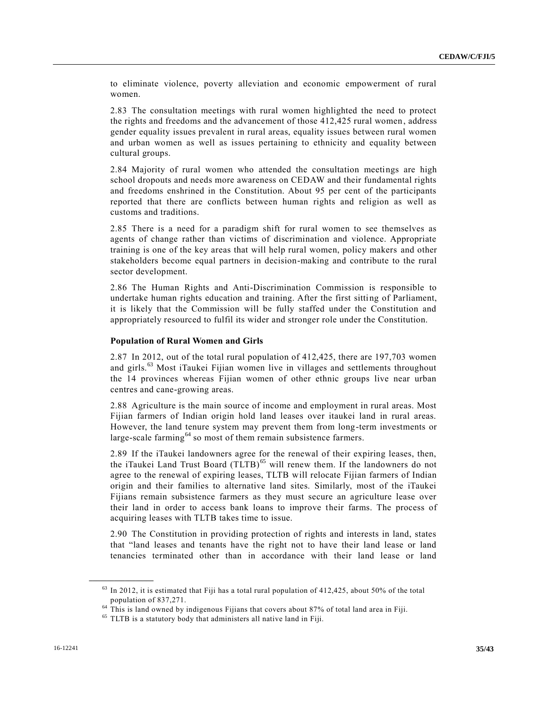to eliminate violence, poverty alleviation and economic empowerment of rural women.

2.83 The consultation meetings with rural women highlighted the need to protect the rights and freedoms and the advancement of those 412,425 rural women, address gender equality issues prevalent in rural areas, equality issues between rural women and urban women as well as issues pertaining to ethnicity and equality between cultural groups.

2.84 Majority of rural women who attended the consultation meetings are high school dropouts and needs more awareness on CEDAW and their fundamental rights and freedoms enshrined in the Constitution. About 95 per cent of the participants reported that there are conflicts between human rights and religion as well as customs and traditions.

2.85 There is a need for a paradigm shift for rural women to see themselves as agents of change rather than victims of discrimination and violence. Appropriate training is one of the key areas that will help rural women, policy makers and other stakeholders become equal partners in decision-making and contribute to the rural sector development.

2.86 The Human Rights and Anti-Discrimination Commission is responsible to undertake human rights education and training. After the first sitting of Parliament, it is likely that the Commission will be fully staffed under the Constitution and appropriately resourced to fulfil its wider and stronger role under the Constitution.

#### **Population of Rural Women and Girls**

2.87 In 2012, out of the total rural population of 412,425, there are 197,703 women and girls.<sup>63</sup> Most iTaukei Fijian women live in villages and settlements throughout the 14 provinces whereas Fijian women of other ethnic groups live near urban centres and cane-growing areas.

2.88 Agriculture is the main source of income and employment in rural areas. Most Fijian farmers of Indian origin hold land leases over itaukei land in rural areas. However, the land tenure system may prevent them from long-term investments or large-scale farming<sup>64</sup> so most of them remain subsistence farmers.

2.89 If the iTaukei landowners agree for the renewal of their expiring leases, then, the iTaukei Land Trust Board  $(TLTB)$ <sup>65</sup> will renew them. If the landowners do not agree to the renewal of expiring leases, TLTB will relocate Fijian farmers of Indian origin and their families to alternative land sites. Similarly, most of the iTaukei Fijians remain subsistence farmers as they must secure an agriculture lease over their land in order to access bank loans to improve their farms. The process of acquiring leases with TLTB takes time to issue.

2.90 The Constitution in providing protection of rights and interests in land, states that "land leases and tenants have the right not to have their land lease or land tenancies terminated other than in accordance with their land lease or land

 $63$  In 2012, it is estimated that Fiji has a total rural population of 412,425, about 50% of the total population of 837,271.

 $64$  This is land owned by indigenous Fijians that covers about 87% of total land area in Fiji.

<sup>&</sup>lt;sup>65</sup> TLTB is a statutory body that administers all native land in Fiji.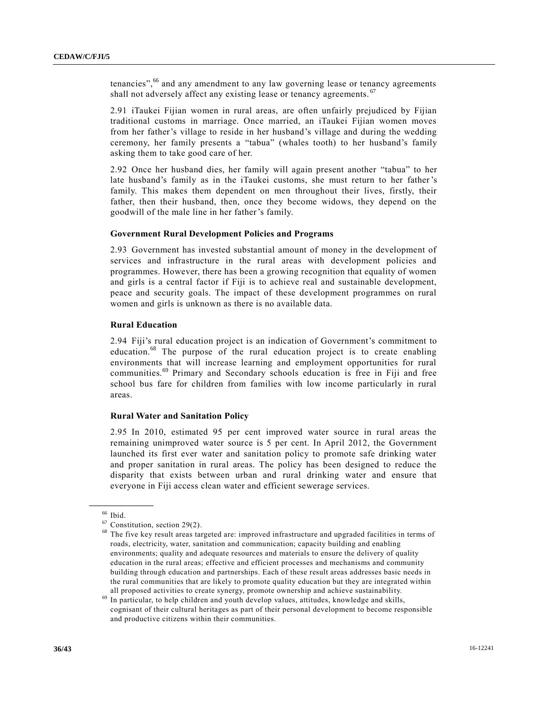tenancies",<sup>66</sup> and any amendment to any law governing lease or tenancy agreements shall not adversely affect any existing lease or tenancy agreements. <sup>67</sup>

2.91 iTaukei Fijian women in rural areas, are often unfairly prejudiced by Fijian traditional customs in marriage. Once married, an iTaukei Fijian women moves from her father's village to reside in her husband's village and during the wedding ceremony, her family presents a "tabua" (whales tooth) to her husband's family asking them to take good care of her.

2.92 Once her husband dies, her family will again present another "tabua" to her late husband's family as in the iTaukei customs, she must return to her father's family. This makes them dependent on men throughout their lives, firstly, their father, then their husband, then, once they become widows, they depend on the goodwill of the male line in her father's family.

#### **Government Rural Development Policies and Programs**

2.93 Government has invested substantial amount of money in the development of services and infrastructure in the rural areas with development policies and programmes. However, there has been a growing recognition that equality of women and girls is a central factor if Fiji is to achieve real and sustainable development, peace and security goals. The impact of these development programmes on rural women and girls is unknown as there is no available data.

#### **Rural Education**

2.94 Fiji's rural education project is an indication of Government's commitment to education.<sup>68</sup> The purpose of the rural education project is to create enabling environments that will increase learning and employment opportunities for rural communities.<sup>69</sup> Primary and Secondary schools education is free in Fiji and free school bus fare for children from families with low income particularly in rural areas.

#### **Rural Water and Sanitation Policy**

2.95 In 2010, estimated 95 per cent improved water source in rural areas the remaining unimproved water source is 5 per cent. In April 2012, the Government launched its first ever water and sanitation policy to promote safe drinking water and proper sanitation in rural areas. The policy has been designed to reduce the disparity that exists between urban and rural drinking water and ensure that everyone in Fiji access clean water and efficient sewerage services.

 $66$  Ibid.

 $67$  Constitution, section 29(2).

<sup>68</sup> The five key result areas targeted are: improved infrastructure and upgraded facilities in terms of roads, electricity, water, sanitation and communication; capacity building and enabling environments; quality and adequate resources and materials to ensure the delivery of quality education in the rural areas; effective and efficient processes and mechanisms and community building through education and partnerships. Each of these result areas addresses basic needs in the rural communities that are likely to promote quality education but they are integrated within all proposed activities to create synergy, promote ownership and achieve sustainability.

 $69$  In particular, to help children and youth develop values, attitudes, knowledge and skills, cognisant of their cultural heritages as part of their personal development to become responsible and productive citizens within their communities.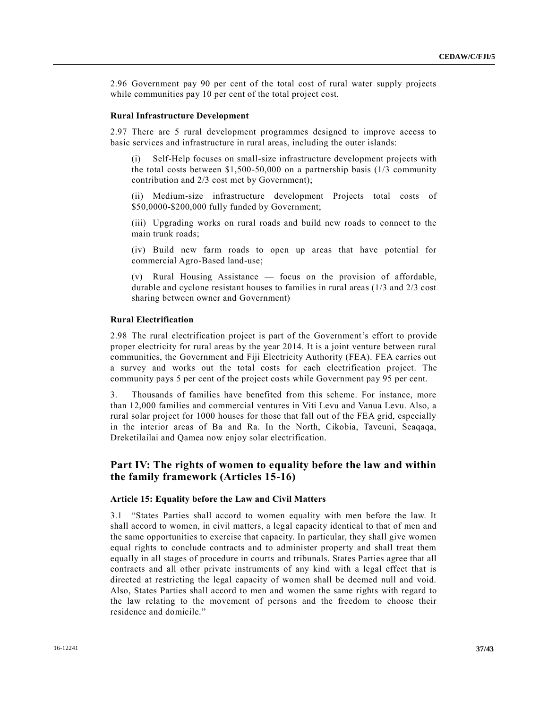2.96 Government pay 90 per cent of the total cost of rural water supply projects while communities pay 10 per cent of the total project cost.

#### **Rural Infrastructure Development**

2.97 There are 5 rural development programmes designed to improve access to basic services and infrastructure in rural areas, including the outer islands:

(i) Self-Help focuses on small-size infrastructure development projects with the total costs between \$1,500-50,000 on a partnership basis (1/3 community contribution and 2/3 cost met by Government);

(ii) Medium-size infrastructure development Projects total costs of \$50,0000-\$200,000 fully funded by Government;

(iii) Upgrading works on rural roads and build new roads to connect to the main trunk roads;

(iv) Build new farm roads to open up areas that have potential for commercial Agro-Based land-use;

(v) Rural Housing Assistance — focus on the provision of affordable, durable and cyclone resistant houses to families in rural areas (1/3 and 2/3 cost sharing between owner and Government)

#### **Rural Electrification**

2.98 The rural electrification project is part of the Government's effort to provide proper electricity for rural areas by the year 2014. It is a joint venture between rural communities, the Government and Fiji Electricity Authority (FEA). FEA carries out a survey and works out the total costs for each electrification project. The community pays 5 per cent of the project costs while Government pay 95 per cent.

3. Thousands of families have benefited from this scheme. For instance, more than 12,000 families and commercial ventures in Viti Levu and Vanua Levu. Also, a rural solar project for 1000 houses for those that fall out of the FEA grid, especially in the interior areas of Ba and Ra. In the North, Cikobia, Taveuni, Seaqaqa, Dreketilailai and Qamea now enjoy solar electrification.

## **Part IV: The rights of women to equality before the law and within the family framework (Articles 15-16)**

#### **Article 15: Equality before the Law and Civil Matters**

3.1 "States Parties shall accord to women equality with men before the law. It shall accord to women, in civil matters, a legal capacity identical to that of men and the same opportunities to exercise that capacity. In particular, they shall give women equal rights to conclude contracts and to administer property and shall treat them equally in all stages of procedure in courts and tribunals. States Parties agree that all contracts and all other private instruments of any kind with a legal effect that is directed at restricting the legal capacity of women shall be deemed null and void. Also, States Parties shall accord to men and women the same rights with regard to the law relating to the movement of persons and the freedom to choose their residence and domicile."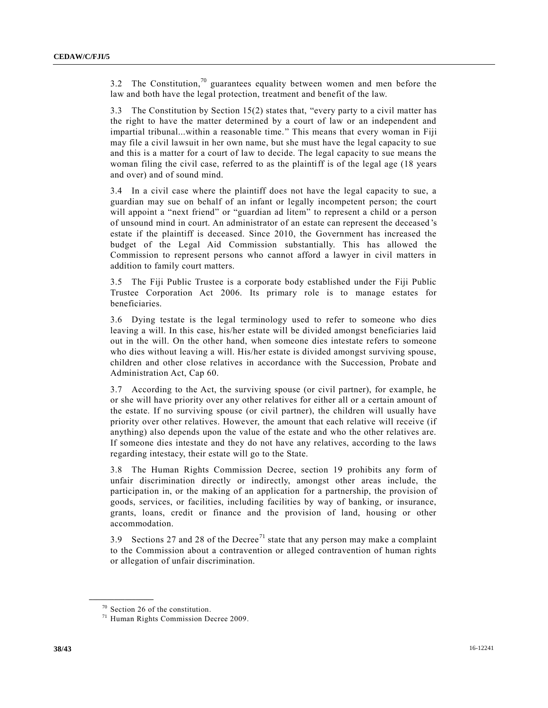3.2 The Constitution,<sup>70</sup> guarantees equality between women and men before the law and both have the legal protection, treatment and benefit of the law.

3.3 The Constitution by Section 15(2) states that, "every party to a civil matter has the right to have the matter determined by a court of law or an independent and impartial tribunal...within a reasonable time." This means that every woman in Fiji may file a civil lawsuit in her own name, but she must have the legal capacity to sue and this is a matter for a court of law to decide. The legal capacity to sue means the woman filing the civil case, referred to as the plaintiff is of the legal age (18 years and over) and of sound mind.

3.4 In a civil case where the plaintiff does not have the legal capacity to sue, a guardian may sue on behalf of an infant or legally incompetent person; the court will appoint a "next friend" or "guardian ad litem" to represent a child or a person of unsound mind in court. An administrator of an estate can represent the deceased 's estate if the plaintiff is deceased. Since 2010, the Government has increased the budget of the Legal Aid Commission substantially. This has allowed the Commission to represent persons who cannot afford a lawyer in civil matters in addition to family court matters.

3.5 The Fiji Public Trustee is a corporate body established under the Fiji Public Trustee Corporation Act 2006. Its primary role is to manage estates for beneficiaries.

3.6 Dying testate is the legal terminology used to refer to someone who dies leaving a will. In this case, his/her estate will be divided amongst beneficiaries laid out in the will. On the other hand, when someone dies intestate refers to someone who dies without leaving a will. His/her estate is divided amongst surviving spouse, children and other close relatives in accordance with the Succession, Probate and Administration Act, Cap 60.

3.7 According to the Act, the surviving spouse (or civil partner), for example, he or she will have priority over any other relatives for either all or a certain amount of the estate. If no surviving spouse (or civil partner), the children will usually have priority over other relatives. However, the amount that each relative will receive (if anything) also depends upon the value of the estate and who the other relatives are. If someone dies intestate and they do not have any relatives, according to the laws regarding intestacy, their estate will go to the State.

3.8 The Human Rights Commission Decree, section 19 prohibits any form of unfair discrimination directly or indirectly, amongst other areas include, the participation in, or the making of an application for a partnership, the provision of goods, services, or facilities, including facilities by way of banking, or insurance, grants, loans, credit or finance and the provision of land, housing or other accommodation.

3.9 Sections 27 and 28 of the Decree<sup>71</sup> state that any person may make a complaint to the Commission about a contravention or alleged contravention of human rights or allegation of unfair discrimination.

<sup>70</sup> Section 26 of the constitution.

<sup>71</sup> Human Rights Commission Decree 2009.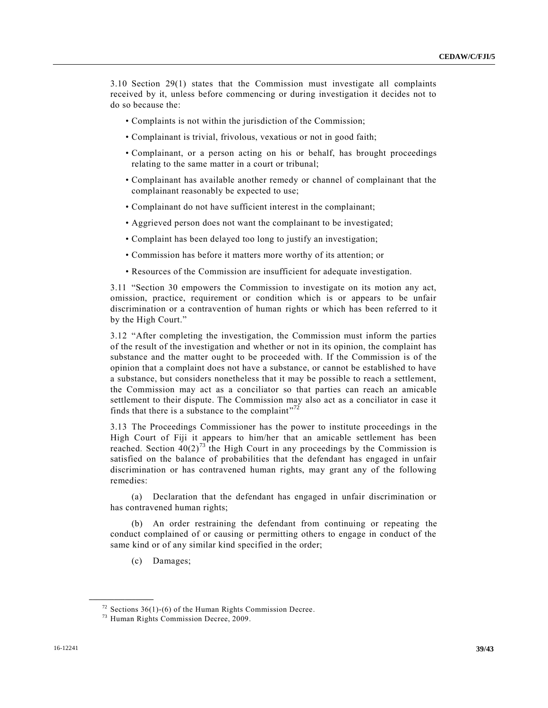3.10 Section 29(1) states that the Commission must investigate all complaints received by it, unless before commencing or during investigation it decides not to do so because the:

- Complaints is not within the jurisdiction of the Commission;
- Complainant is trivial, frivolous, vexatious or not in good faith;
- Complainant, or a person acting on his or behalf, has brought proceedings relating to the same matter in a court or tribunal;
- Complainant has available another remedy or channel of complainant that the complainant reasonably be expected to use;
- Complainant do not have sufficient interest in the complainant;
- Aggrieved person does not want the complainant to be investigated;
- Complaint has been delayed too long to justify an investigation;
- Commission has before it matters more worthy of its attention; or
- Resources of the Commission are insufficient for adequate investigation.

3.11 "Section 30 empowers the Commission to investigate on its motion any act, omission, practice, requirement or condition which is or appears to be unfair discrimination or a contravention of human rights or which has been referred to it by the High Court."

3.12 "After completing the investigation, the Commission must inform the parties of the result of the investigation and whether or not in its opinion, the complaint has substance and the matter ought to be proceeded with. If the Commission is of the opinion that a complaint does not have a substance, or cannot be established to have a substance, but considers nonetheless that it may be possible to reach a settlement, the Commission may act as a conciliator so that parties can reach an amicable settlement to their dispute. The Commission may also act as a conciliator in case it finds that there is a substance to the complaint"<sup>72</sup>

3.13 The Proceedings Commissioner has the power to institute proceedings in the High Court of Fiji it appears to him/her that an amicable settlement has been reached. Section  $40(2)^{73}$  the High Court in any proceedings by the Commission is satisfied on the balance of probabilities that the defendant has engaged in unfair discrimination or has contravened human rights, may grant any of the following remedies:

(a) Declaration that the defendant has engaged in unfair discrimination or has contravened human rights;

(b) An order restraining the defendant from continuing or repeating the conduct complained of or causing or permitting others to engage in conduct of the same kind or of any similar kind specified in the order;

(c) Damages;

 $72$  Sections 36(1)-(6) of the Human Rights Commission Decree.

<sup>73</sup> Human Rights Commission Decree, 2009.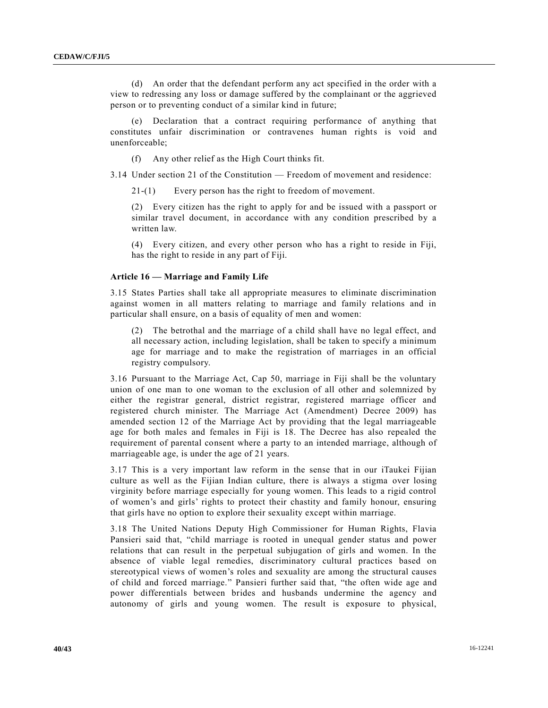(d) An order that the defendant perform any act specified in the order with a view to redressing any loss or damage suffered by the complainant or the aggrieved person or to preventing conduct of a similar kind in future;

(e) Declaration that a contract requiring performance of anything that constitutes unfair discrimination or contravenes human rights is void and unenforceable;

(f) Any other relief as the High Court thinks fit.

3.14 Under section 21 of the Constitution — Freedom of movement and residence:

21-(1) Every person has the right to freedom of movement.

(2) Every citizen has the right to apply for and be issued with a passport or similar travel document, in accordance with any condition prescribed by a written law.

(4) Every citizen, and every other person who has a right to reside in Fiji, has the right to reside in any part of Fiji.

#### **Article 16 — Marriage and Family Life**

3.15 States Parties shall take all appropriate measures to eliminate discrimination against women in all matters relating to marriage and family relations and in particular shall ensure, on a basis of equality of men and women:

(2) The betrothal and the marriage of a child shall have no legal effect, and all necessary action, including legislation, shall be taken to specify a minimum age for marriage and to make the registration of marriages in an official registry compulsory.

3.16 Pursuant to the Marriage Act, Cap 50, marriage in Fiji shall be the voluntary union of one man to one woman to the exclusion of all other and solemnized by either the registrar general, district registrar, registered marriage officer and registered church minister. The Marriage Act (Amendment) Decree 2009) has amended section 12 of the Marriage Act by providing that the legal marriageable age for both males and females in Fiji is 18. The Decree has also repealed the requirement of parental consent where a party to an intended marriage, although of marriageable age, is under the age of 21 years.

3.17 This is a very important law reform in the sense that in our iTaukei Fijian culture as well as the Fijian Indian culture, there is always a stigma over losing virginity before marriage especially for young women. This leads to a rigid control of women's and girls' rights to protect their chastity and family honour, ensuring that girls have no option to explore their sexuality except within marriage.

3.18 The United Nations Deputy High Commissioner for Human Rights, Flavia Pansieri said that, "child marriage is rooted in unequal gender status and power relations that can result in the perpetual subjugation of girls and women. In the absence of viable legal remedies, discriminatory cultural practices based on stereotypical views of women's roles and sexuality are among the structural causes of child and forced marriage." Pansieri further said that, "the often wide age and power differentials between brides and husbands undermine the agency and autonomy of girls and young women. The result is exposure to physical,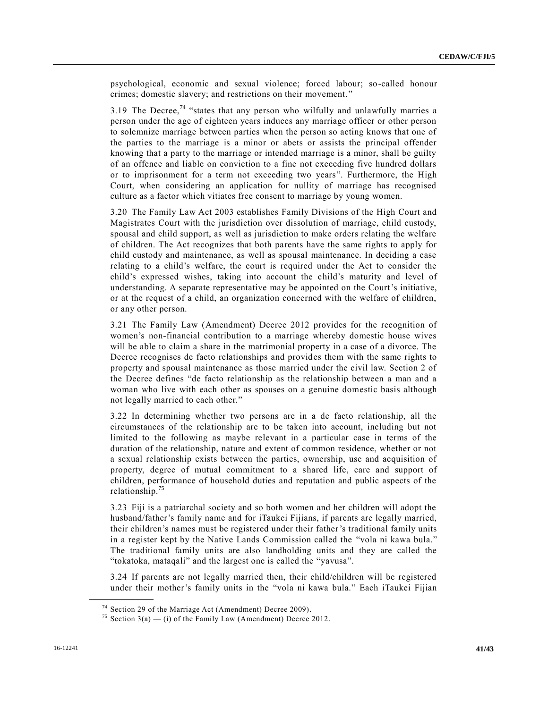psychological, economic and sexual violence; forced labour; so-called honour crimes; domestic slavery; and restrictions on their movement."

3.19 The Decree,<sup>74</sup> "states that any person who wilfully and unlawfully marries a person under the age of eighteen years induces any marriage officer or other person to solemnize marriage between parties when the person so acting knows that one of the parties to the marriage is a minor or abets or assists the principal offender knowing that a party to the marriage or intended marriage is a minor, shall be guilty of an offence and liable on conviction to a fine not exceeding five hundred dollars or to imprisonment for a term not exceeding two years". Furthermore, the High Court, when considering an application for nullity of marriage has recognised culture as a factor which vitiates free consent to marriage by young women.

3.20 The Family Law Act 2003 establishes Family Divisions of the High Court and Magistrates Court with the jurisdiction over dissolution of marriage, child custody, spousal and child support, as well as jurisdiction to make orders relating the welfare of children. The Act recognizes that both parents have the same rights to apply for child custody and maintenance, as well as spousal maintenance. In deciding a case relating to a child's welfare, the court is required under the Act to consider the child's expressed wishes, taking into account the child's maturity and level of understanding. A separate representative may be appointed on the Court's initiative, or at the request of a child, an organization concerned with the welfare of children, or any other person.

3.21 The Family Law (Amendment) Decree 2012 provides for the recognition of women's non-financial contribution to a marriage whereby domestic house wives will be able to claim a share in the matrimonial property in a case of a divorce. The Decree recognises de facto relationships and provides them with the same rights to property and spousal maintenance as those married under the civil law. Section 2 of the Decree defines "de facto relationship as the relationship between a man and a woman who live with each other as spouses on a genuine domestic basis although not legally married to each other."

3.22 In determining whether two persons are in a de facto relationship, all the circumstances of the relationship are to be taken into account, including but not limited to the following as maybe relevant in a particular case in terms of the duration of the relationship, nature and extent of common residence, whether or not a sexual relationship exists between the parties, ownership, use and acquisition of property, degree of mutual commitment to a shared life, care and support of children, performance of household duties and reputation and public aspects of the relationship.<sup>75</sup>

3.23 Fiji is a patriarchal society and so both women and her children will adopt the husband/father's family name and for iTaukei Fijians, if parents are legally married, their children's names must be registered under their father's traditional family units in a register kept by the Native Lands Commission called the "vola ni kawa bula." The traditional family units are also landholding units and they are called the "tokatoka, mataqali" and the largest one is called the "yavusa".

3.24 If parents are not legally married then, their child/children will be registered under their mother's family units in the "vola ni kawa bula." Each iTaukei Fijian

<sup>74</sup> Section 29 of the Marriage Act (Amendment) Decree 2009).

<sup>&</sup>lt;sup>75</sup> Section 3(a) — (i) of the Family Law (Amendment) Decree 2012.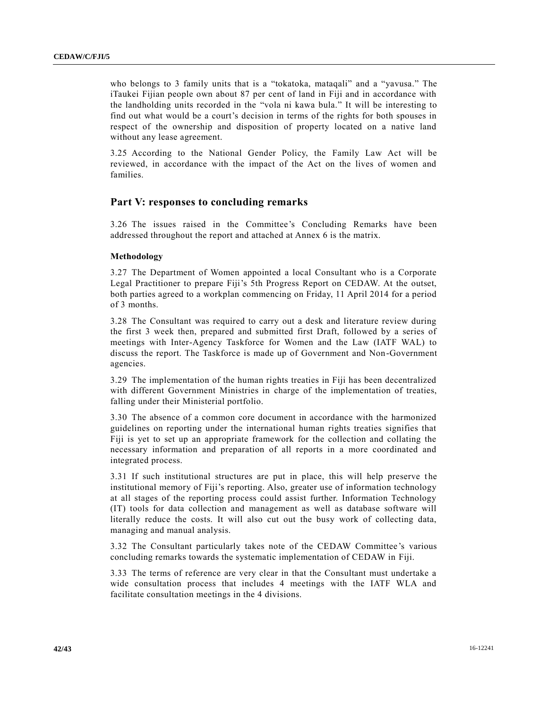who belongs to 3 family units that is a "tokatoka, mataqali" and a "yavusa." The iTaukei Fijian people own about 87 per cent of land in Fiji and in accordance with the landholding units recorded in the "vola ni kawa bula." It will be interesting to find out what would be a court's decision in terms of the rights for both spouses in respect of the ownership and disposition of property located on a native land without any lease agreement.

3.25 According to the National Gender Policy, the Family Law Act will be reviewed, in accordance with the impact of the Act on the lives of women and families.

## **Part V: responses to concluding remarks**

3.26 The issues raised in the Committee's Concluding Remarks have been addressed throughout the report and attached at Annex 6 is the matrix.

#### **Methodology**

3.27 The Department of Women appointed a local Consultant who is a Corporate Legal Practitioner to prepare Fiji's 5th Progress Report on CEDAW. At the outset, both parties agreed to a workplan commencing on Friday, 11 April 2014 for a period of 3 months.

3.28 The Consultant was required to carry out a desk and literature review during the first 3 week then, prepared and submitted first Draft, followed by a series of meetings with Inter-Agency Taskforce for Women and the Law (IATF WAL) to discuss the report. The Taskforce is made up of Government and Non-Government agencies.

3.29 The implementation of the human rights treaties in Fiji has been decentralized with different Government Ministries in charge of the implementation of treaties, falling under their Ministerial portfolio.

3.30 The absence of a common core document in accordance with the harmonized guidelines on reporting under the international human rights treaties signifies that Fiji is yet to set up an appropriate framework for the collection and collating the necessary information and preparation of all reports in a more coordinated and integrated process.

3.31 If such institutional structures are put in place, this will help preserve the institutional memory of Fiji's reporting. Also, greater use of information technology at all stages of the reporting process could assist further. Information Technology (IT) tools for data collection and management as well as database software will literally reduce the costs. It will also cut out the busy work of collecting data, managing and manual analysis.

3.32 The Consultant particularly takes note of the CEDAW Committee's various concluding remarks towards the systematic implementation of CEDAW in Fiji.

3.33 The terms of reference are very clear in that the Consultant must undertake a wide consultation process that includes 4 meetings with the IATF WLA and facilitate consultation meetings in the 4 divisions.